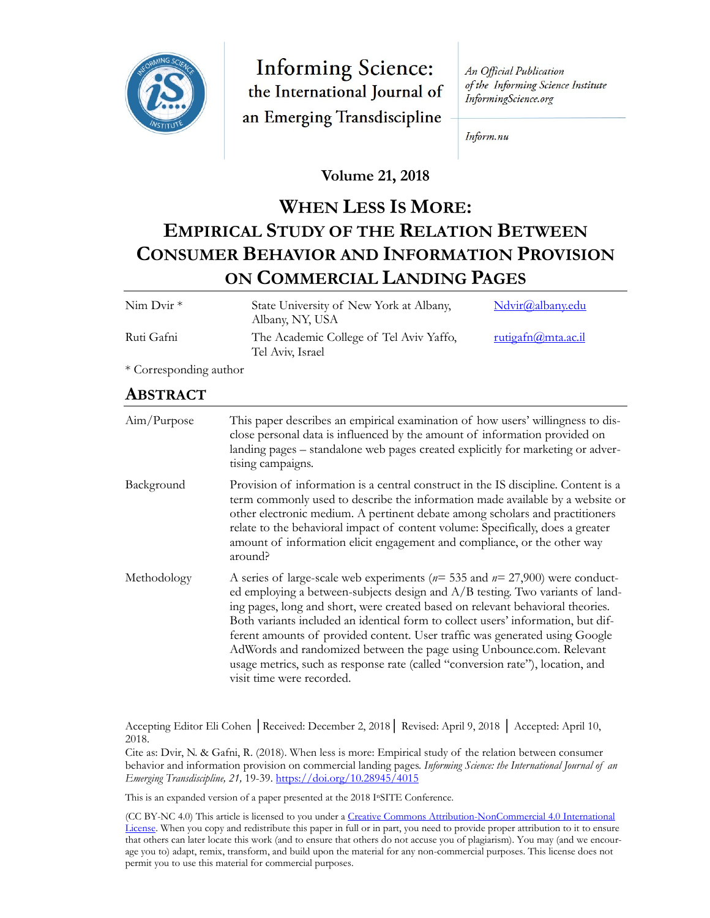

**Informing Science:** the International Journal of an Emerging Transdiscipline

An Official Publication of the Informing Science Institute InformingScience.org

Inform.nu

## **Volume 21, 2018**

# **WHEN LESS IS MORE: EMPIRICAL STUDY OF THE RELATION BETWEEN CONSUMER BEHAVIOR AND INFORMATION PROVISION ON COMMERCIAL LANDING PAGES**

| Nim Dvir*              | State University of New York at Albany,<br>Albany, NY, USA                                                                                                                                                                                                                                                                                                                                                                                                                                                                                                                                                     | Ndvir@albany.edu   |  |
|------------------------|----------------------------------------------------------------------------------------------------------------------------------------------------------------------------------------------------------------------------------------------------------------------------------------------------------------------------------------------------------------------------------------------------------------------------------------------------------------------------------------------------------------------------------------------------------------------------------------------------------------|--------------------|--|
| Ruti Gafni             | The Academic College of Tel Aviv Yaffo,<br>Tel Aviv, Israel                                                                                                                                                                                                                                                                                                                                                                                                                                                                                                                                                    | rutigafn@mta.ac.il |  |
| * Corresponding author |                                                                                                                                                                                                                                                                                                                                                                                                                                                                                                                                                                                                                |                    |  |
| <b>ABSTRACT</b>        |                                                                                                                                                                                                                                                                                                                                                                                                                                                                                                                                                                                                                |                    |  |
| Aim/Purpose            | This paper describes an empirical examination of how users' willingness to dis-<br>close personal data is influenced by the amount of information provided on<br>landing pages - standalone web pages created explicitly for marketing or adver-<br>tising campaigns.                                                                                                                                                                                                                                                                                                                                          |                    |  |
| Background             | Provision of information is a central construct in the IS discipline. Content is a<br>term commonly used to describe the information made available by a website or<br>other electronic medium. A pertinent debate among scholars and practitioners<br>relate to the behavioral impact of content volume: Specifically, does a greater<br>amount of information elicit engagement and compliance, or the other way<br>around?                                                                                                                                                                                  |                    |  |
| Methodology            | A series of large-scale web experiments ( $n=$ 535 and $n=$ 27,900) were conduct-<br>ed employing a between-subjects design and A/B testing. Two variants of land-<br>ing pages, long and short, were created based on relevant behavioral theories.<br>Both variants included an identical form to collect users' information, but dif-<br>ferent amounts of provided content. User traffic was generated using Google<br>AdWords and randomized between the page using Unbounce.com. Relevant<br>usage metrics, such as response rate (called "conversion rate"), location, and<br>visit time were recorded. |                    |  |

Accepting Editor Eli Cohen │Received: December 2, 2018│ Revised: April 9, 2018 │ Accepted: April 10, 2018.

Cite as: Dvir, N. & Gafni, R. (2018). When less is more: Empirical study of the relation between consumer behavior and information provision on commercial landing pages. *Informing Science: the International Journal of an Emerging Transdiscipline, 21,* 19-39. <https://doi.org/10.28945/4015>

This is an expanded version of a paper presented at the 2018 InSITE Conference.

(CC BY-NC 4.0) This article is licensed to you under a Creative Commons Attribution-[NonCommercial 4.0 International](https://creativecommons.org/licenses/by-nc/4.0/)  [License.](https://creativecommons.org/licenses/by-nc/4.0/) When you copy and redistribute this paper in full or in part, you need to provide proper attribution to it to ensure that others can later locate this work (and to ensure that others do not accuse you of plagiarism). You may (and we encourage you to) adapt, remix, transform, and build upon the material for any non-commercial purposes. This license does not permit you to use this material for commercial purposes.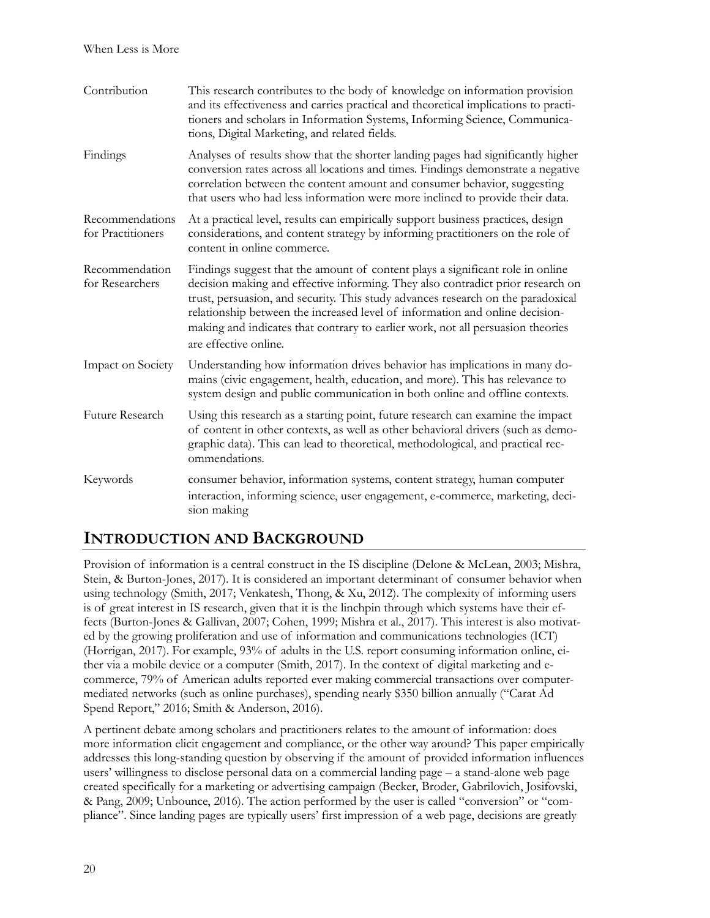| Contribution                         | This research contributes to the body of knowledge on information provision<br>and its effectiveness and carries practical and theoretical implications to practi-<br>tioners and scholars in Information Systems, Informing Science, Communica-<br>tions, Digital Marketing, and related fields.                                                                                                                                                 |
|--------------------------------------|---------------------------------------------------------------------------------------------------------------------------------------------------------------------------------------------------------------------------------------------------------------------------------------------------------------------------------------------------------------------------------------------------------------------------------------------------|
| Findings                             | Analyses of results show that the shorter landing pages had significantly higher<br>conversion rates across all locations and times. Findings demonstrate a negative<br>correlation between the content amount and consumer behavior, suggesting<br>that users who had less information were more inclined to provide their data.                                                                                                                 |
| Recommendations<br>for Practitioners | At a practical level, results can empirically support business practices, design<br>considerations, and content strategy by informing practitioners on the role of<br>content in online commerce.                                                                                                                                                                                                                                                 |
| Recommendation<br>for Researchers    | Findings suggest that the amount of content plays a significant role in online<br>decision making and effective informing. They also contradict prior research on<br>trust, persuasion, and security. This study advances research on the paradoxical<br>relationship between the increased level of information and online decision-<br>making and indicates that contrary to earlier work, not all persuasion theories<br>are effective online. |
| Impact on Society                    | Understanding how information drives behavior has implications in many do-<br>mains (civic engagement, health, education, and more). This has relevance to<br>system design and public communication in both online and offline contexts.                                                                                                                                                                                                         |
| Future Research                      | Using this research as a starting point, future research can examine the impact<br>of content in other contexts, as well as other behavioral drivers (such as demo-<br>graphic data). This can lead to theoretical, methodological, and practical rec-<br>ommendations.                                                                                                                                                                           |
| Keywords                             | consumer behavior, information systems, content strategy, human computer<br>interaction, informing science, user engagement, e-commerce, marketing, deci-<br>sion making                                                                                                                                                                                                                                                                          |

# **INTRODUCTION AND BACKGROUND**

Provision of information is a central construct in the IS discipline (Delone & McLean, 2003; Mishra, Stein, & Burton-Jones, 2017). It is considered an important determinant of consumer behavior when using technology (Smith, 2017; Venkatesh, Thong, & Xu, 2012). The complexity of informing users is of great interest in IS research, given that it is the linchpin through which systems have their effects (Burton-Jones & Gallivan, 2007; Cohen, 1999; Mishra et al., 2017). This interest is also motivated by the growing proliferation and use of information and communications technologies (ICT) (Horrigan, 2017). For example, 93% of adults in the U.S. report consuming information online, either via a mobile device or a computer (Smith, 2017). In the context of digital marketing and ecommerce, 79% of American adults reported ever making commercial transactions over computermediated networks (such as online purchases), spending nearly \$350 billion annually ("Carat Ad Spend Report," 2016; Smith & Anderson, 2016).

A pertinent debate among scholars and practitioners relates to the amount of information: does more information elicit engagement and compliance, or the other way around? This paper empirically addresses this long-standing question by observing if the amount of provided information influences users' willingness to disclose personal data on a commercial landing page – a stand-alone web page created specifically for a marketing or advertising campaign (Becker, Broder, Gabrilovich, Josifovski, & Pang, 2009; Unbounce, 2016). The action performed by the user is called "conversion" or "compliance". Since landing pages are typically users' first impression of a web page, decisions are greatly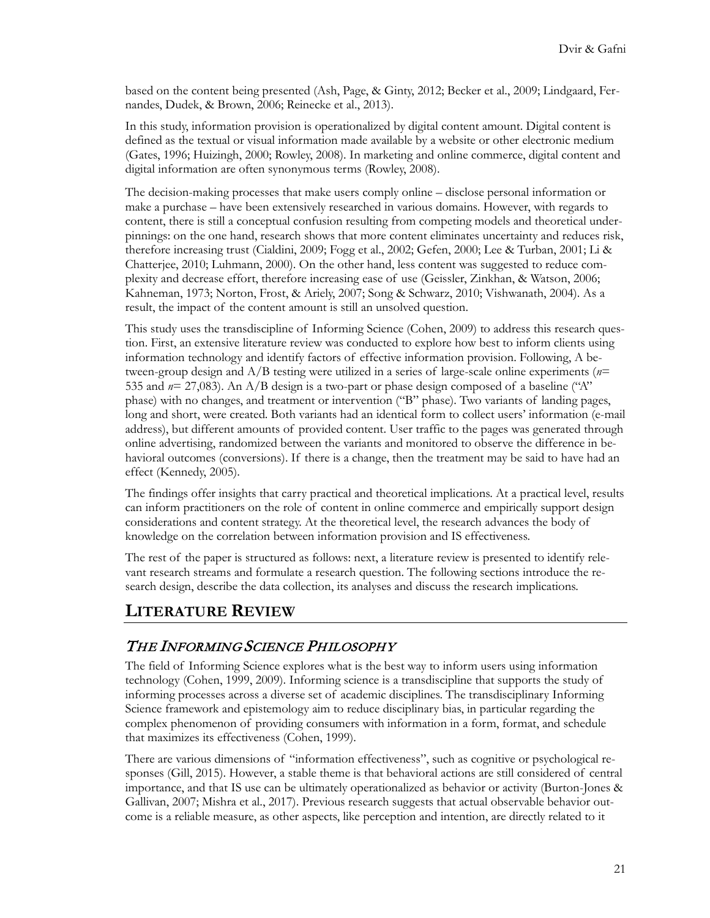based on the content being presented (Ash, Page, & Ginty, 2012; Becker et al., 2009; Lindgaard, Fernandes, Dudek, & Brown, 2006; Reinecke et al., 2013).

In this study, information provision is operationalized by digital content amount. Digital content is defined as the textual or visual information made available by a website or other electronic medium (Gates, 1996; Huizingh, 2000; Rowley, 2008). In marketing and online commerce, digital content and digital information are often synonymous terms (Rowley, 2008).

The decision-making processes that make users comply online – disclose personal information or make a purchase – have been extensively researched in various domains. However, with regards to content, there is still a conceptual confusion resulting from competing models and theoretical underpinnings: on the one hand, research shows that more content eliminates uncertainty and reduces risk, therefore increasing trust (Cialdini, 2009; Fogg et al., 2002; Gefen, 2000; Lee & Turban, 2001; Li & Chatterjee, 2010; Luhmann, 2000). On the other hand, less content was suggested to reduce complexity and decrease effort, therefore increasing ease of use (Geissler, Zinkhan, & Watson, 2006; Kahneman, 1973; Norton, Frost, & Ariely, 2007; Song & Schwarz, 2010; Vishwanath, 2004). As a result, the impact of the content amount is still an unsolved question.

This study uses the transdiscipline of Informing Science (Cohen, 2009) to address this research question. First, an extensive literature review was conducted to explore how best to inform clients using information technology and identify factors of effective information provision. Following, A between-group design and A/B testing were utilized in a series of large-scale online experiments (*n*= 535 and *n*= 27,083). An A/B design is a two-part or phase design composed of a baseline ("A" phase) with no changes, and treatment or intervention ("B" phase). Two variants of landing pages, long and short, were created. Both variants had an identical form to collect users' information (e-mail address), but different amounts of provided content. User traffic to the pages was generated through online advertising, randomized between the variants and monitored to observe the difference in behavioral outcomes (conversions). If there is a change, then the treatment may be said to have had an effect (Kennedy, 2005).

The findings offer insights that carry practical and theoretical implications. At a practical level, results can inform practitioners on the role of content in online commerce and empirically support design considerations and content strategy. At the theoretical level, the research advances the body of knowledge on the correlation between information provision and IS effectiveness.

The rest of the paper is structured as follows: next, a literature review is presented to identify relevant research streams and formulate a research question. The following sections introduce the research design, describe the data collection, its analyses and discuss the research implications.

## **LITERATURE REVIEW**

## THE INFORMING SCIENCE PHILOSOPHY

The field of Informing Science explores what is the best way to inform users using information technology (Cohen, 1999, 2009). Informing science is a transdiscipline that supports the study of informing processes across a diverse set of academic disciplines. The transdisciplinary Informing Science framework and epistemology aim to reduce disciplinary bias, in particular regarding the complex phenomenon of providing consumers with information in a form, format, and schedule that maximizes its effectiveness (Cohen, 1999).

There are various dimensions of "information effectiveness", such as cognitive or psychological responses (Gill, 2015). However, a stable theme is that behavioral actions are still considered of central importance, and that IS use can be ultimately operationalized as behavior or activity (Burton-Jones & Gallivan, 2007; Mishra et al., 2017). Previous research suggests that actual observable behavior outcome is a reliable measure, as other aspects, like perception and intention, are directly related to it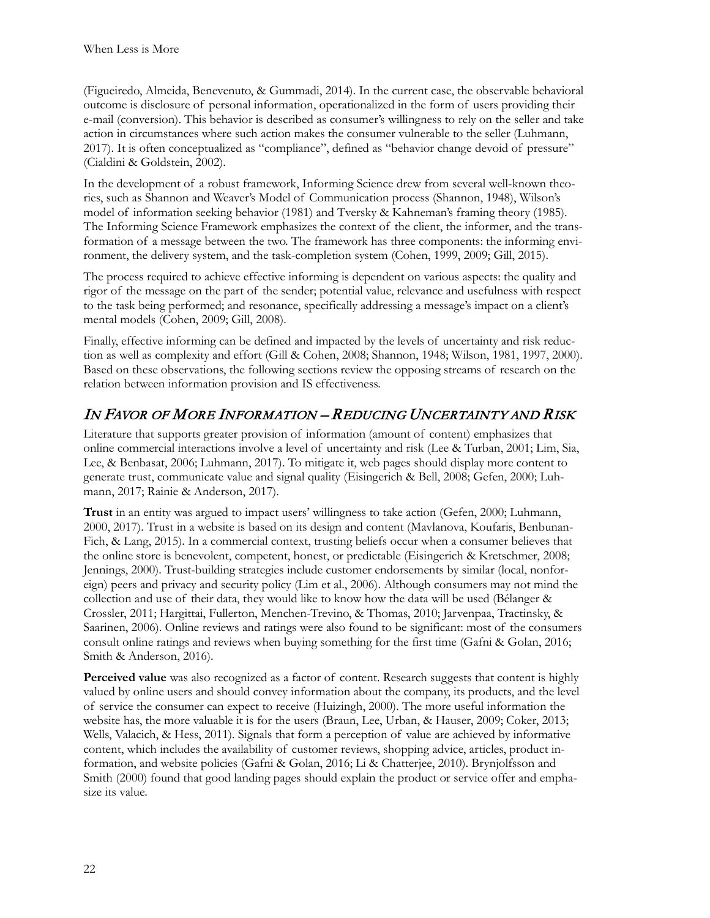(Figueiredo, Almeida, Benevenuto, & Gummadi, 2014). In the current case, the observable behavioral outcome is disclosure of personal information, operationalized in the form of users providing their e-mail (conversion). This behavior is described as consumer's willingness to rely on the seller and take action in circumstances where such action makes the consumer vulnerable to the seller (Luhmann, 2017). It is often conceptualized as "compliance", defined as "behavior change devoid of pressure" (Cialdini & Goldstein, 2002).

In the development of a robust framework, Informing Science drew from several well-known theories, such as Shannon and Weaver's Model of Communication process (Shannon, 1948), Wilson's model of information seeking behavior (1981) and Tversky & Kahneman's framing theory (1985). The Informing Science Framework emphasizes the context of the client, the informer, and the transformation of a message between the two. The framework has three components: the informing environment, the delivery system, and the task-completion system (Cohen, 1999, 2009; Gill, 2015).

The process required to achieve effective informing is dependent on various aspects: the quality and rigor of the message on the part of the sender; potential value, relevance and usefulness with respect to the task being performed; and resonance, specifically addressing a message's impact on a client's mental models (Cohen, 2009; Gill, 2008).

Finally, effective informing can be defined and impacted by the levels of uncertainty and risk reduction as well as complexity and effort (Gill & Cohen, 2008; Shannon, 1948; Wilson, 1981, 1997, 2000). Based on these observations, the following sections review the opposing streams of research on the relation between information provision and IS effectiveness.

# IN FAVOR OF MORE INFORMATION – REDUCING UNCERTAINTY AND RISK

Literature that supports greater provision of information (amount of content) emphasizes that online commercial interactions involve a level of uncertainty and risk (Lee & Turban, 2001; Lim, Sia, Lee, & Benbasat, 2006; Luhmann, 2017). To mitigate it, web pages should display more content to generate trust, communicate value and signal quality (Eisingerich & Bell, 2008; Gefen, 2000; Luhmann, 2017; Rainie & Anderson, 2017).

**Trust** in an entity was argued to impact users' willingness to take action (Gefen, 2000; Luhmann, 2000, 2017). Trust in a website is based on its design and content (Mavlanova, Koufaris, Benbunan-Fich, & Lang, 2015). In a commercial context, trusting beliefs occur when a consumer believes that the online store is benevolent, competent, honest, or predictable (Eisingerich & Kretschmer, 2008; Jennings, 2000). Trust-building strategies include customer endorsements by similar (local, nonforeign) peers and privacy and security policy (Lim et al., 2006). Although consumers may not mind the collection and use of their data, they would like to know how the data will be used (Bélanger & Crossler, 2011; Hargittai, Fullerton, Menchen-Trevino, & Thomas, 2010; Jarvenpaa, Tractinsky, & Saarinen, 2006). Online reviews and ratings were also found to be significant: most of the consumers consult online ratings and reviews when buying something for the first time (Gafni & Golan, 2016; Smith & Anderson, 2016).

Perceived value was also recognized as a factor of content. Research suggests that content is highly valued by online users and should convey information about the company, its products, and the level of service the consumer can expect to receive (Huizingh, 2000). The more useful information the website has, the more valuable it is for the users (Braun, Lee, Urban, & Hauser, 2009; Coker, 2013; Wells, Valacich, & Hess, 2011). Signals that form a perception of value are achieved by informative content, which includes the availability of customer reviews, shopping advice, articles, product information, and website policies (Gafni & Golan, 2016; Li & Chatterjee, 2010). Brynjolfsson and Smith (2000) found that good landing pages should explain the product or service offer and emphasize its value.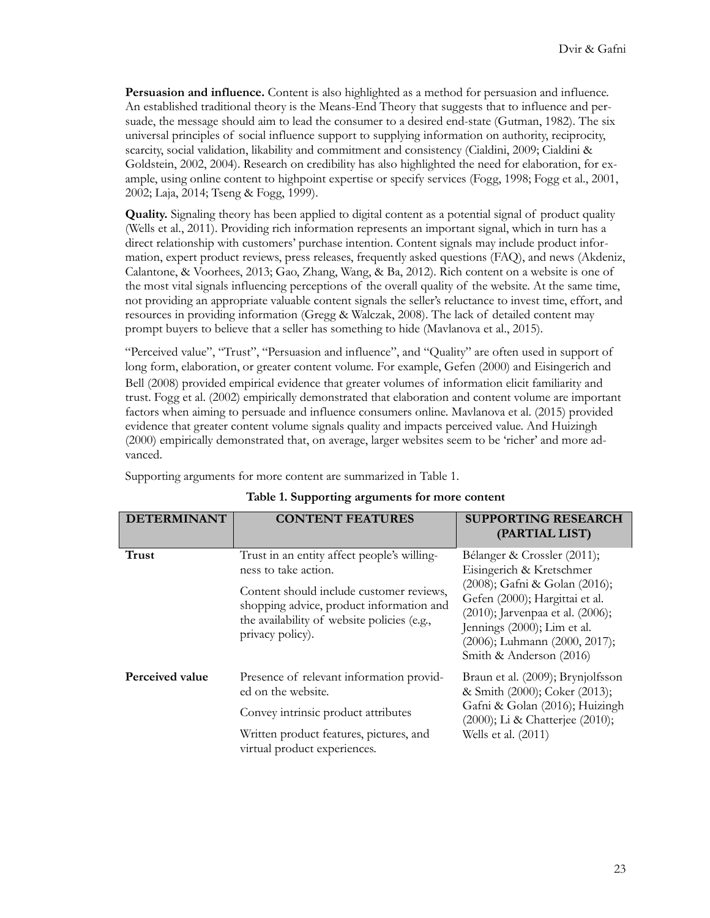**Persuasion and influence.** Content is also highlighted as a method for persuasion and influence. An established traditional theory is the Means-End Theory that suggests that to influence and persuade, the message should aim to lead the consumer to a desired end-state (Gutman, 1982). The six universal principles of social influence support to supplying information on authority, reciprocity, scarcity, social validation, likability and commitment and consistency (Cialdini, 2009; Cialdini & Goldstein, 2002, 2004). Research on credibility has also highlighted the need for elaboration, for example, using online content to highpoint expertise or specify services (Fogg, 1998; Fogg et al., 2001, 2002; Laja, 2014; Tseng & Fogg, 1999).

**Quality.** Signaling theory has been applied to digital content as a potential signal of product quality (Wells et al., 2011). Providing rich information represents an important signal, which in turn has a direct relationship with customers' purchase intention. Content signals may include product information, expert product reviews, press releases, frequently asked questions (FAQ), and news (Akdeniz, Calantone, & Voorhees, 2013; Gao, Zhang, Wang, & Ba, 2012). Rich content on a website is one of the most vital signals influencing perceptions of the overall quality of the website. At the same time, not providing an appropriate valuable content signals the seller's reluctance to invest time, effort, and resources in providing information (Gregg & Walczak, 2008). The lack of detailed content may prompt buyers to believe that a seller has something to hide (Mavlanova et al., 2015).

"Perceived value", "Trust", "Persuasion and influence", and "Quality" are often used in support of long form, elaboration, or greater content volume. For example, Gefen (2000) and Eisingerich and Bell (2008) provided empirical evidence that greater volumes of information elicit familiarity and trust. Fogg et al. (2002) empirically demonstrated that elaboration and content volume are important factors when aiming to persuade and influence consumers online. Mavlanova et al. (2015) provided evidence that greater content volume signals quality and impacts perceived value. And Huizingh (2000) empirically demonstrated that, on average, larger websites seem to be 'richer' and more advanced.

Supporting arguments for more content are summarized in Table 1.

| <b>DETERMINANT</b> | <b>CONTENT FEATURES</b>                                                                                                                                                                                                        | <b>SUPPORTING RESEARCH</b><br>(PARTIAL LIST)                                                                                                                                                                                                              |
|--------------------|--------------------------------------------------------------------------------------------------------------------------------------------------------------------------------------------------------------------------------|-----------------------------------------------------------------------------------------------------------------------------------------------------------------------------------------------------------------------------------------------------------|
| <b>Trust</b>       | Trust in an entity affect people's willing-<br>ness to take action.<br>Content should include customer reviews,<br>shopping advice, product information and<br>the availability of website policies (e.g.,<br>privacy policy). | Bélanger & Crossler (2011);<br>Eisingerich & Kretschmer<br>(2008); Gafni & Golan (2016);<br>Gefen (2000); Hargittai et al.<br>(2010); Jarvenpaa et al. (2006);<br>Jennings (2000); Lim et al.<br>(2006); Luhmann (2000, 2017);<br>Smith & Anderson (2016) |
| Perceived value    | Presence of relevant information provid-<br>ed on the website.<br>Convey intrinsic product attributes<br>Written product features, pictures, and<br>virtual product experiences.                                               | Braun et al. (2009); Brynjolfsson<br>& Smith (2000); Coker (2013);<br>Gafni & Golan (2016); Huizingh<br>(2000); Li & Chatterjee (2010);<br>Wells et al. (2011)                                                                                            |

#### **Table 1. Supporting arguments for more content**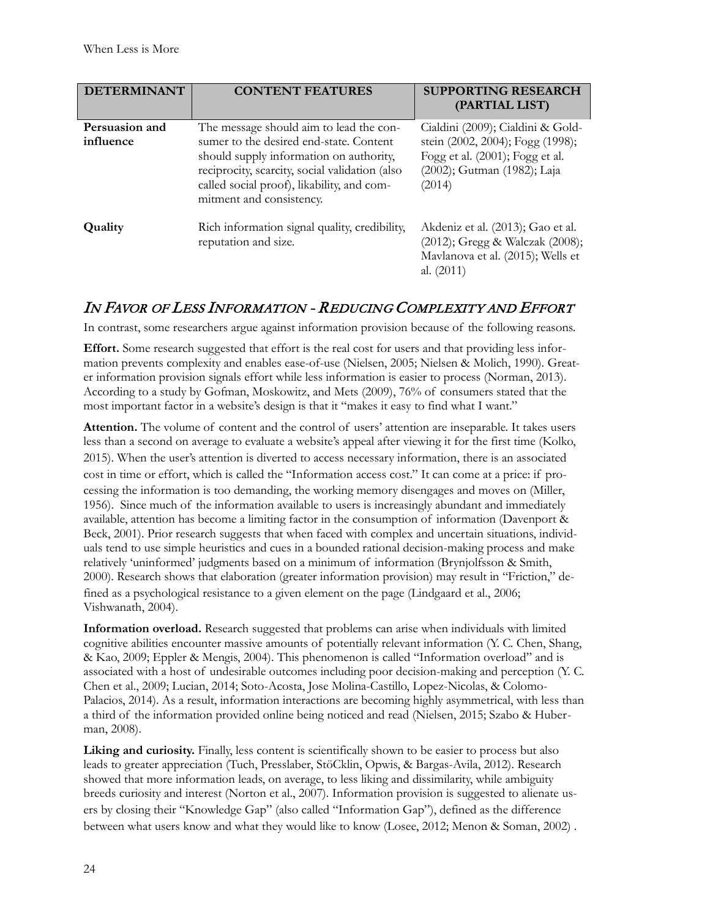| <b>DETERMINANT</b>          | <b>CONTENT FEATURES</b>                                                                                                                                                                                                                                   | <b>SUPPORTING RESEARCH</b><br>(PARTIAL LIST)                                                                                                      |
|-----------------------------|-----------------------------------------------------------------------------------------------------------------------------------------------------------------------------------------------------------------------------------------------------------|---------------------------------------------------------------------------------------------------------------------------------------------------|
| Persuasion and<br>influence | The message should aim to lead the con-<br>sumer to the desired end-state. Content<br>should supply information on authority,<br>reciprocity, scarcity, social validation (also<br>called social proof), likability, and com-<br>mitment and consistency. | Cialdini (2009); Cialdini & Gold-<br>stein (2002, 2004); Fogg (1998);<br>Fogg et al. (2001); Fogg et al.<br>(2002); Gutman (1982); Laja<br>(2014) |
| Quality                     | Rich information signal quality, credibility,<br>reputation and size.                                                                                                                                                                                     | Akdeniz et al. (2013); Gao et al.<br>(2012); Gregg & Walczak (2008);<br>Mavlanova et al. (2015); Wells et<br>al. $(2011)$                         |

## IN FAVOR OF LESS INFORMATION - REDUCING COMPLEXITY AND EFFORT

In contrast, some researchers argue against information provision because of the following reasons.

**Effort.** Some research suggested that effort is the real cost for users and that providing less information prevents complexity and enables ease-of-use (Nielsen, 2005; Nielsen & Molich, 1990). Greater information provision signals effort while less information is easier to process (Norman, 2013). According to a study by Gofman, Moskowitz, and Mets (2009), 76% of consumers stated that the most important factor in a website's design is that it "makes it easy to find what I want."

**Attention.** The volume of content and the control of users' attention are inseparable. It takes users less than a second on average to evaluate a website's appeal after viewing it for the first time (Kolko, 2015). When the user's attention is diverted to access necessary information, there is an associated cost in time or effort, which is called the "Information access cost." It can come at a price: if processing the information is too demanding, the working memory disengages and moves on (Miller, 1956). Since much of the information available to users is increasingly abundant and immediately available, attention has become a limiting factor in the consumption of information (Davenport & Beck, 2001). Prior research suggests that when faced with complex and uncertain situations, individuals tend to use simple heuristics and cues in a bounded rational decision-making process and make relatively 'uninformed' judgments based on a minimum of information (Brynjolfsson & Smith, 2000). Research shows that elaboration (greater information provision) may result in "Friction," defined as a psychological resistance to a given element on the page (Lindgaard et al., 2006; Vishwanath, 2004).

**Information overload.** Research suggested that problems can arise when individuals with limited cognitive abilities encounter massive amounts of potentially relevant information (Y. C. Chen, Shang, & Kao, 2009; Eppler & Mengis, 2004). This phenomenon is called "Information overload" and is associated with a host of undesirable outcomes including poor decision-making and perception (Y. C. Chen et al., 2009; Lucian, 2014; Soto-Acosta, Jose Molina-Castillo, Lopez-Nicolas, & Colomo-Palacios, 2014). As a result, information interactions are becoming highly asymmetrical, with less than a third of the information provided online being noticed and read (Nielsen, 2015; Szabo & Huberman, 2008).

**Liking and curiosity.** Finally, less content is scientifically shown to be easier to process but also leads to greater appreciation (Tuch, Presslaber, StöCklin, Opwis, & Bargas-Avila, 2012). Research showed that more information leads, on average, to less liking and dissimilarity, while ambiguity breeds curiosity and interest (Norton et al., 2007). Information provision is suggested to alienate users by closing their "Knowledge Gap" (also called "Information Gap"), defined as the difference between what users know and what they would like to know (Losee, 2012; Menon & Soman, 2002) .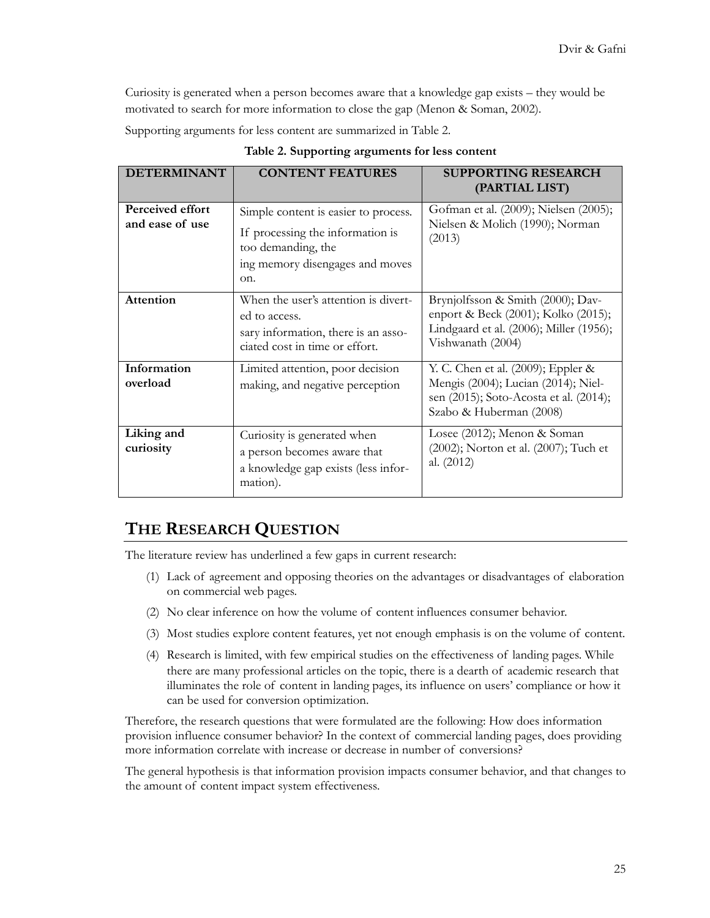Curiosity is generated when a person becomes aware that a knowledge gap exists – they would be motivated to search for more information to close the gap (Menon & Soman, 2002).

Supporting arguments for less content are summarized in Table 2.

| <b>DETERMINANT</b>                  | <b>CONTENT FEATURES</b>                                                                                                                  | <b>SUPPORTING RESEARCH</b><br>(PARTIAL LIST)                                                                                                   |
|-------------------------------------|------------------------------------------------------------------------------------------------------------------------------------------|------------------------------------------------------------------------------------------------------------------------------------------------|
| Perceived effort<br>and ease of use | Simple content is easier to process.<br>If processing the information is<br>too demanding, the<br>ing memory disengages and moves<br>on. | Gofman et al. (2009); Nielsen (2005);<br>Nielsen & Molich (1990); Norman<br>(2013)                                                             |
| Attention                           | When the user's attention is divert-<br>ed to access.<br>sary information, there is an asso-<br>ciated cost in time or effort.           | Brynjolfsson & Smith (2000); Dav-<br>enport & Beck (2001); Kolko (2015);<br>Lindgaard et al. (2006); Miller (1956);<br>Vishwanath (2004)       |
| Information<br>overload             | Limited attention, poor decision<br>making, and negative perception                                                                      | Y. C. Chen et al. (2009); Eppler &<br>Mengis (2004); Lucian (2014); Niel-<br>sen (2015); Soto-Acosta et al. (2014);<br>Szabo & Huberman (2008) |
| Liking and<br>curiosity             | Curiosity is generated when<br>a person becomes aware that<br>a knowledge gap exists (less infor-<br>mation).                            | Losee (2012); Menon & Soman<br>(2002); Norton et al. (2007); Tuch et<br>al. (2012)                                                             |

**Table 2. Supporting arguments for less content**

# **THE RESEARCH QUESTION**

The literature review has underlined a few gaps in current research:

- (1) Lack of agreement and opposing theories on the advantages or disadvantages of elaboration on commercial web pages.
- (2) No clear inference on how the volume of content influences consumer behavior.
- (3) Most studies explore content features, yet not enough emphasis is on the volume of content.
- (4) Research is limited, with few empirical studies on the effectiveness of landing pages. While there are many professional articles on the topic, there is a dearth of academic research that illuminates the role of content in landing pages, its influence on users' compliance or how it can be used for conversion optimization.

Therefore, the research questions that were formulated are the following: How does information provision influence consumer behavior? In the context of commercial landing pages, does providing more information correlate with increase or decrease in number of conversions?

The general hypothesis is that information provision impacts consumer behavior, and that changes to the amount of content impact system effectiveness.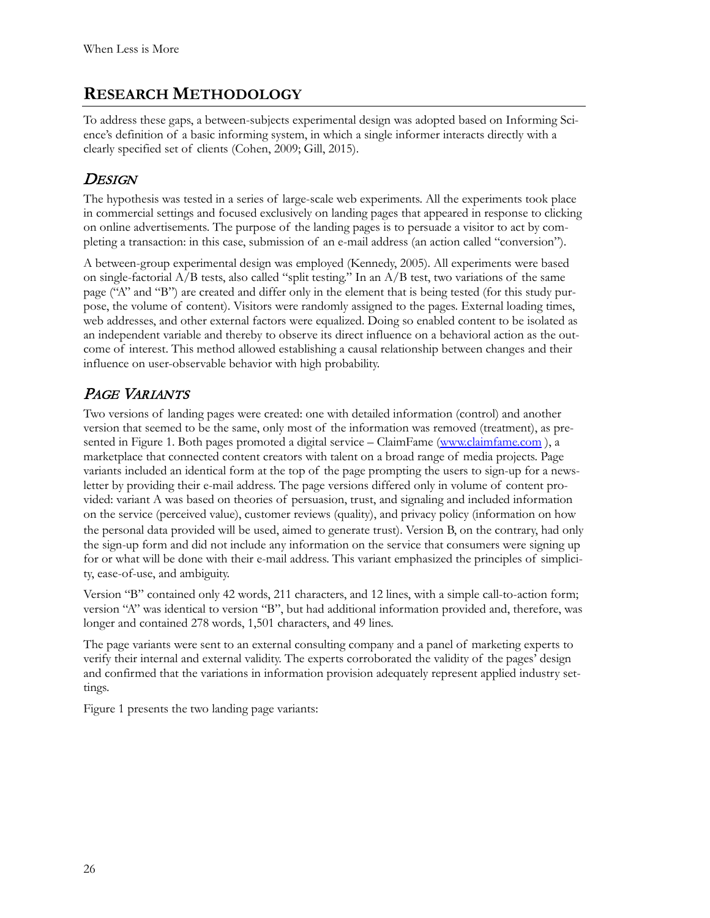# **RESEARCH METHODOLOGY**

To address these gaps, a between-subjects experimental design was adopted based on Informing Science's definition of a basic informing system, in which a single informer interacts directly with a clearly specified set of clients (Cohen, 2009; Gill, 2015).

# **DESIGN**

The hypothesis was tested in a series of large-scale web experiments. All the experiments took place in commercial settings and focused exclusively on landing pages that appeared in response to clicking on online advertisements. The purpose of the landing pages is to persuade a visitor to act by completing a transaction: in this case, submission of an e-mail address (an action called "conversion").

A between-group experimental design was employed (Kennedy, 2005). All experiments were based on single-factorial  $A/B$  tests, also called "split testing." In an  $A/B$  test, two variations of the same page ("A" and "B") are created and differ only in the element that is being tested (for this study purpose, the volume of content). Visitors were randomly assigned to the pages. External loading times, web addresses, and other external factors were equalized. Doing so enabled content to be isolated as an independent variable and thereby to observe its direct influence on a behavioral action as the outcome of interest. This method allowed establishing a causal relationship between changes and their influence on user-observable behavior with high probability.

# PAGE VARIANTS

Two versions of landing pages were created: one with detailed information (control) and another version that seemed to be the same, only most of the information was removed (treatment), as pre-sented in Figure 1. Both pages promoted a digital service – ClaimFame [\(www.claimfame.com](http://www.claimfame.com/)), a marketplace that connected content creators with talent on a broad range of media projects. Page variants included an identical form at the top of the page prompting the users to sign-up for a newsletter by providing their e-mail address. The page versions differed only in volume of content provided: variant A was based on theories of persuasion, trust, and signaling and included information on the service (perceived value), customer reviews (quality), and privacy policy (information on how the personal data provided will be used, aimed to generate trust). Version B, on the contrary, had only the sign-up form and did not include any information on the service that consumers were signing up for or what will be done with their e-mail address. This variant emphasized the principles of simplicity, ease-of-use, and ambiguity.

Version "B" contained only 42 words, 211 characters, and 12 lines, with a simple call-to-action form; version "A" was identical to version "B", but had additional information provided and, therefore, was longer and contained 278 words, 1,501 characters, and 49 lines.

The page variants were sent to an external consulting company and a panel of marketing experts to verify their internal and external validity. The experts corroborated the validity of the pages' design and confirmed that the variations in information provision adequately represent applied industry settings.

Figure 1 presents the two landing page variants: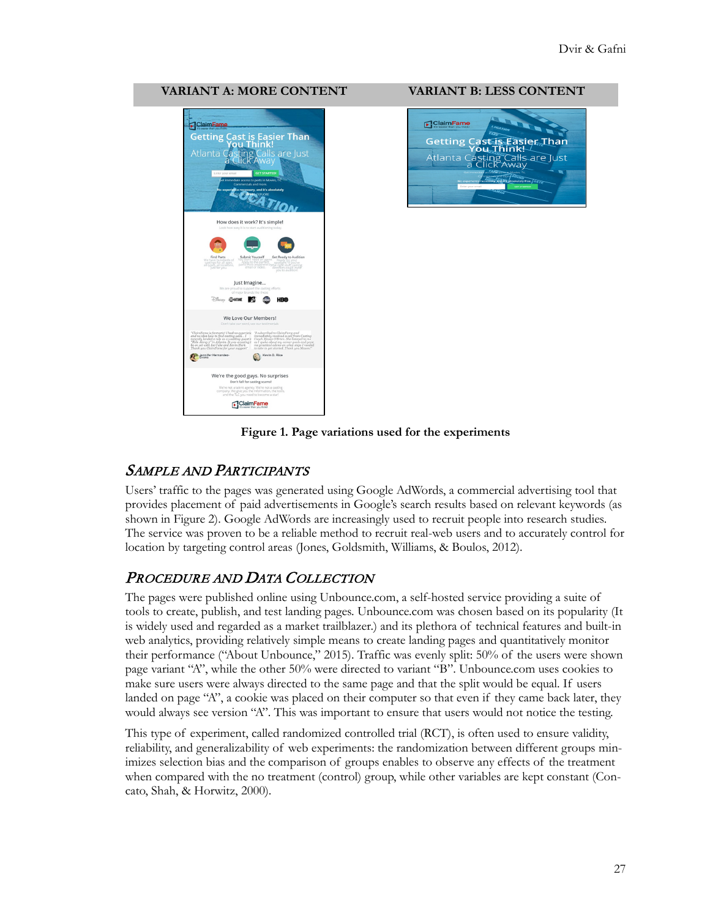#### **VARIANT A: MORE CONTENT VARIANT B: LESS CONTENT**





**Figure 1. Page variations used for the experiments**

## SAMPLE AND PARTICIPANTS

Users' traffic to the pages was generated using Google AdWords, a commercial advertising tool that provides placement of paid advertisements in Google's search results based on relevant keywords (as shown in Figure 2). Google AdWords are increasingly used to recruit people into research studies. The service was proven to be a reliable method to recruit real-web users and to accurately control for location by targeting control areas (Jones, Goldsmith, Williams, & Boulos, 2012).

## PROCEDURE AND DATA COLLECTION

The pages were published online using Unbounce.com, a self-hosted service providing a suite of tools to create, publish, and test landing pages. Unbounce.com was chosen based on its popularity (It is widely used and regarded as a market trailblazer.) and its plethora of technical features and built-in web analytics, providing relatively simple means to create landing pages and quantitatively monitor their performance ("About Unbounce," 2015). Traffic was evenly split: 50% of the users were shown page variant "A", while the other 50% were directed to variant "B". Unbounce.com uses cookies to make sure users were always directed to the same page and that the split would be equal. If users landed on page "A", a cookie was placed on their computer so that even if they came back later, they would always see version "A". This was important to ensure that users would not notice the testing.

This type of experiment, called randomized controlled trial (RCT), is often used to ensure validity, reliability, and generalizability of web experiments: the randomization between different groups minimizes selection bias and the comparison of groups enables to observe any effects of the treatment when compared with the no treatment (control) group, while other variables are kept constant (Concato, Shah, & Horwitz, 2000).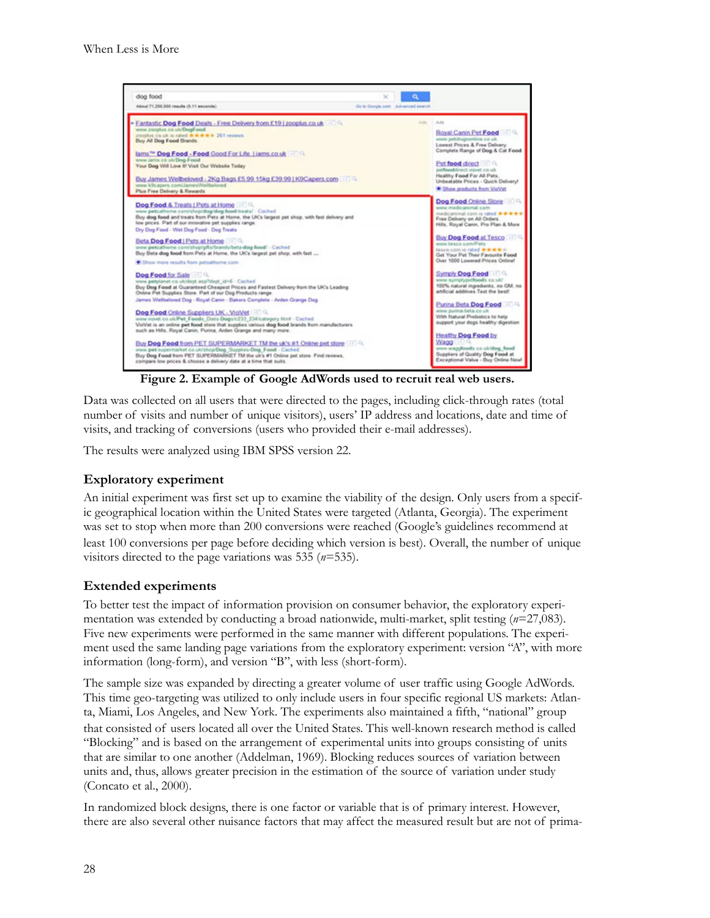

**Figure 2. Example of Google AdWords used to recruit real web users.**

Data was collected on all users that were directed to the pages, including click-through rates (total number of visits and number of unique visitors), users' IP address and locations, date and time of visits, and tracking of conversions (users who provided their e-mail addresses).

The results were analyzed using IBM SPSS version 22.

#### **Exploratory experiment**

An initial experiment was first set up to examine the viability of the design. Only users from a specific geographical location within the United States were targeted (Atlanta, Georgia). The experiment was set to stop when more than 200 conversions were reached (Google's guidelines recommend at least 100 conversions per page before deciding which version is best). Overall, the number of unique visitors directed to the page variations was 535 (*n*=535).

#### **Extended experiments**

To better test the impact of information provision on consumer behavior, the exploratory experimentation was extended by conducting a broad nationwide, multi-market, split testing (*n*=27,083). Five new experiments were performed in the same manner with different populations. The experiment used the same landing page variations from the exploratory experiment: version "A", with more information (long-form), and version "B", with less (short-form).

The sample size was expanded by directing a greater volume of user traffic using Google AdWords. This time geo-targeting was utilized to only include users in four specific regional US markets: Atlanta, Miami, Los Angeles, and New York. The experiments also maintained a fifth, "national" group that consisted of users located all over the United States. This well-known research method is called "Blocking" and is based on the arrangement of experimental units into groups consisting of units that are similar to one another (Addelman, 1969). Blocking reduces sources of variation between units and, thus, allows greater precision in the estimation of the source of variation under study (Concato et al., 2000).

In randomized block designs, there is one factor or variable that is of primary interest. However, there are also several other nuisance factors that may affect the measured result but are not of prima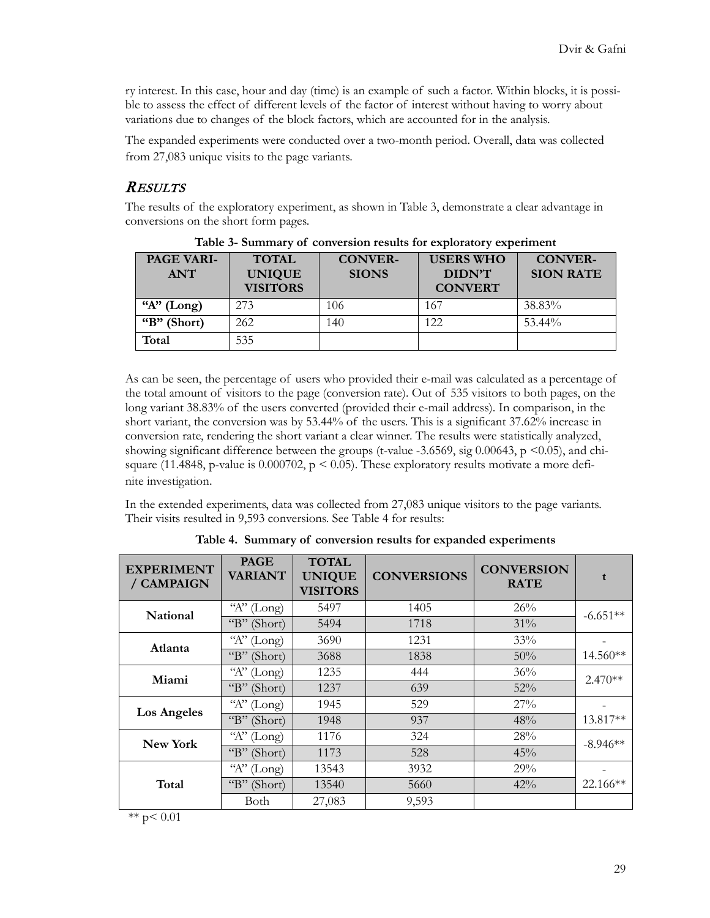ry interest. In this case, hour and day (time) is an example of such a factor. Within blocks, it is possible to assess the effect of different levels of the factor of interest without having to worry about variations due to changes of the block factors, which are accounted for in the analysis.

The expanded experiments were conducted over a two-month period. Overall, data was collected from 27,083 unique visits to the page variants.

## **RESULTS**

The results of the exploratory experiment, as shown in Table 3, demonstrate a clear advantage in conversions on the short form pages.

| <b>PAGE VARI-</b><br><b>ANT</b> | <b>TOTAL</b><br><b>UNIQUE</b><br><b>VISITORS</b> | <b>CONVER-</b><br><b>SIONS</b> | <b>USERS WHO</b><br>DIDN'T<br><b>CONVERT</b> | <b>CONVER-</b><br><b>SION RATE</b> |
|---------------------------------|--------------------------------------------------|--------------------------------|----------------------------------------------|------------------------------------|
| "A" $(Long)$                    | 273                                              | 106                            | 167                                          | 38.83%                             |
| " $B$ " (Short)                 | 262                                              | 140                            | 122                                          | $53.44\%$                          |
| Total                           | 535                                              |                                |                                              |                                    |

**Table 3- Summary of conversion results for exploratory experiment**

As can be seen, the percentage of users who provided their e-mail was calculated as a percentage of the total amount of visitors to the page (conversion rate). Out of 535 visitors to both pages, on the long variant 38.83% of the users converted (provided their e-mail address). In comparison, in the short variant, the conversion was by 53.44% of the users. This is a significant 37.62% increase in conversion rate, rendering the short variant a clear winner. The results were statistically analyzed, showing significant difference between the groups (t-value -3.6569, sig 0.00643,  $p \le 0.05$ ), and chisquare (11.4848, p-value is  $0.000702$ , p < 0.05). These exploratory results motivate a more definite investigation.

In the extended experiments, data was collected from 27,083 unique visitors to the page variants. Their visits resulted in 9,593 conversions. See Table 4 for results:

| <b>EXPERIMENT</b><br>/ CAMPAIGN | <b>PAGE</b><br><b>VARIANT</b> | <b>TOTAL</b><br><b>UNIQUE</b><br><b>VISITORS</b> | <b>CONVERSIONS</b> | <b>CONVERSION</b><br><b>RATE</b> | t          |
|---------------------------------|-------------------------------|--------------------------------------------------|--------------------|----------------------------------|------------|
| National                        | A<br>(Long)                   | 5497                                             | 1405               | 26%                              | $-6.651**$ |
|                                 | $\mathrm{G}_B$<br>(Short)     | 5494                                             | 1718               | 31%                              |            |
| Atlanta                         | A<br>(Long)                   | 3690                                             | 1231               | 33%                              |            |
|                                 | $\mathrm{``B''}$<br>(Short)   | 3688                                             | 1838               | 50%                              | 14.560**   |
| Miami                           | "A" $(Long)$                  | 1235                                             | 444                | 36%                              | $2.470**$  |
|                                 | $\mathrm{``B''}$<br>(Short)   | 1237                                             | 639                | 52%                              |            |
| <b>Los Angeles</b>              | "A" $(Long)$                  | 1945                                             | 529                | 27%                              |            |
|                                 | "B" (Short)                   | 1948                                             | 937                | 48%                              | 13.817**   |
| <b>New York</b>                 | "A" $(Long)$                  | 1176                                             | 324                | 28%                              | $-8.946**$ |
|                                 | $\mathrm{``B''}$<br>(Short)   | 1173                                             | 528                | 45%                              |            |
| Total                           | $\alpha_{A}$<br>(Long)        | 13543                                            | 3932               | 29%                              |            |
|                                 | "B" (Short)                   | 13540                                            | 5660               | $42\%$                           | $22.166**$ |
|                                 | Both                          | 27,083                                           | 9,593              |                                  |            |

**Table 4. Summary of conversion results for expanded experiments**

\*\*  $p < 0.01$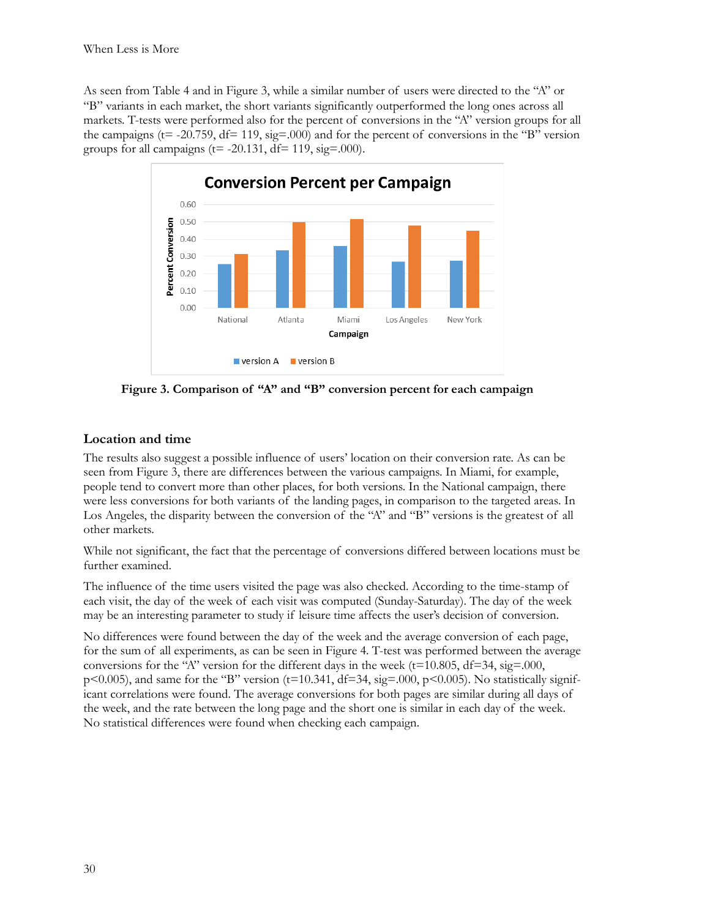As seen from Table 4 and in Figure 3, while a similar number of users were directed to the "A" or "B" variants in each market, the short variants significantly outperformed the long ones across all markets. T-tests were performed also for the percent of conversions in the "A" version groups for all the campaigns ( $t = -20.759$ ,  $df = 119$ ,  $sig = 0.00$ ) and for the percent of conversions in the "B" version groups for all campaigns ( $t = -20.131$ ,  $df = 119$ ,  $sig = .000$ ).



**Figure 3. Comparison of "A" and "B" conversion percent for each campaign**

### **Location and time**

The results also suggest a possible influence of users' location on their conversion rate. As can be seen from Figure 3, there are differences between the various campaigns. In Miami, for example, people tend to convert more than other places, for both versions. In the National campaign, there were less conversions for both variants of the landing pages, in comparison to the targeted areas. In Los Angeles, the disparity between the conversion of the "A" and "B" versions is the greatest of all other markets.

While not significant, the fact that the percentage of conversions differed between locations must be further examined.

The influence of the time users visited the page was also checked. According to the time-stamp of each visit, the day of the week of each visit was computed (Sunday-Saturday). The day of the week may be an interesting parameter to study if leisure time affects the user's decision of conversion.

No differences were found between the day of the week and the average conversion of each page, for the sum of all experiments, as can be seen in Figure 4. T-test was performed between the average conversions for the "A" version for the different days in the week ( $t=10.805$ ,  $df=34$ ,  $sig=0.00$ ,  $p\leq 0.005$ ), and same for the "B" version (t=10.341, df=34, sig=.000, p $\leq 0.005$ ). No statistically significant correlations were found. The average conversions for both pages are similar during all days of the week, and the rate between the long page and the short one is similar in each day of the week. No statistical differences were found when checking each campaign.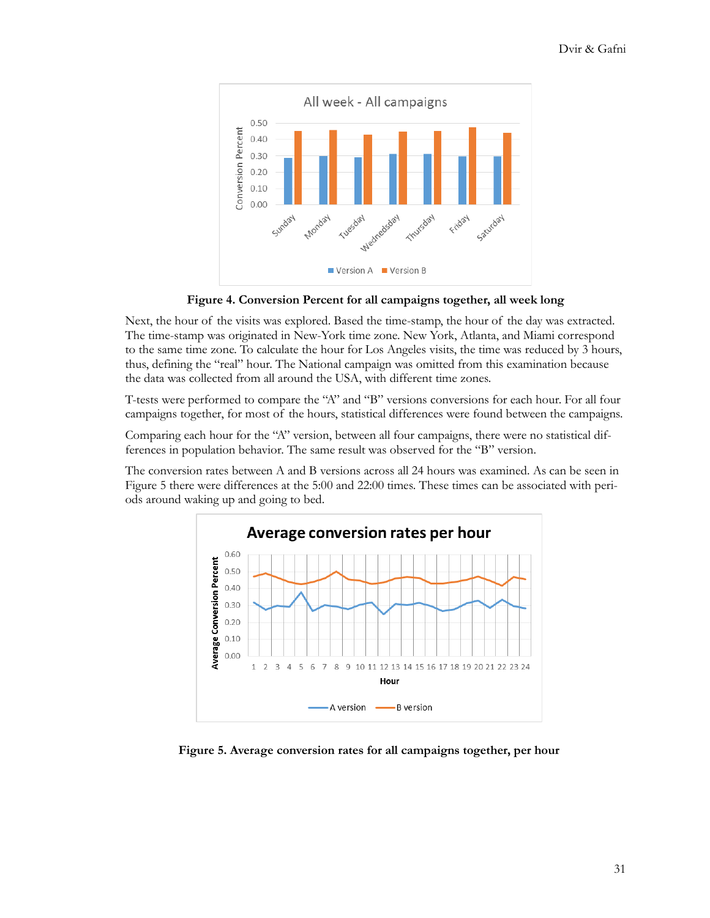

**Figure 4. Conversion Percent for all campaigns together, all week long**

Next, the hour of the visits was explored. Based the time-stamp, the hour of the day was extracted. The time-stamp was originated in New-York time zone. New York, Atlanta, and Miami correspond to the same time zone. To calculate the hour for Los Angeles visits, the time was reduced by 3 hours, thus, defining the "real" hour. The National campaign was omitted from this examination because the data was collected from all around the USA, with different time zones.

T-tests were performed to compare the "A" and "B" versions conversions for each hour. For all four campaigns together, for most of the hours, statistical differences were found between the campaigns.

Comparing each hour for the "A" version, between all four campaigns, there were no statistical differences in population behavior. The same result was observed for the "B" version.

The conversion rates between A and B versions across all 24 hours was examined. As can be seen in Figure 5 there were differences at the 5:00 and 22:00 times. These times can be associated with periods around waking up and going to bed.



**Figure 5. Average conversion rates for all campaigns together, per hour**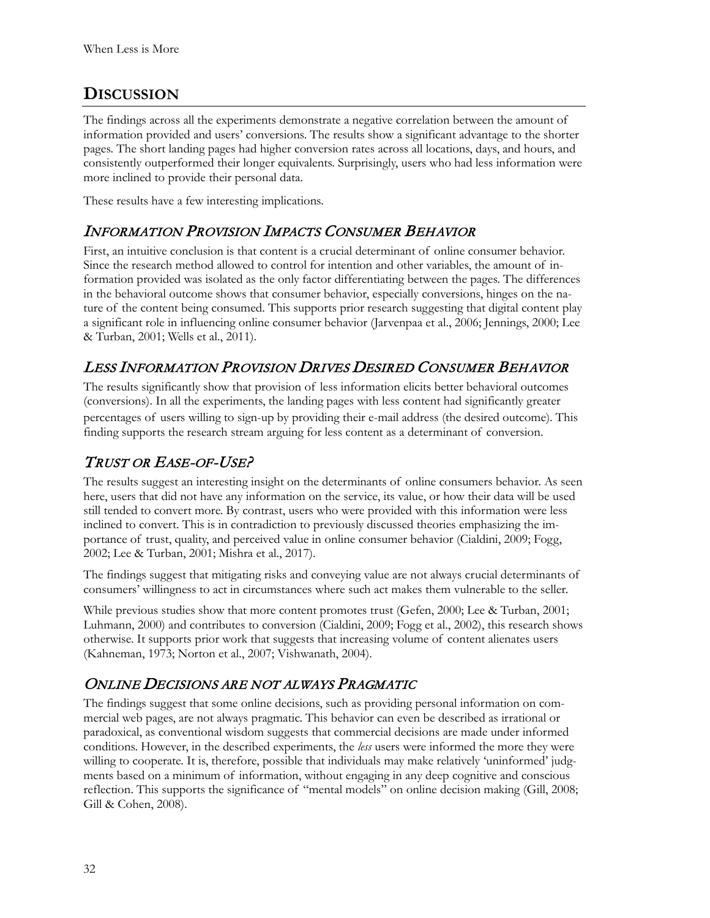# **DISCUSSION**

The findings across all the experiments demonstrate a negative correlation between the amount of information provided and users' conversions. The results show a significant advantage to the shorter pages. The short landing pages had higher conversion rates across all locations, days, and hours, and consistently outperformed their longer equivalents. Surprisingly, users who had less information were more inclined to provide their personal data.

These results have a few interesting implications.

# INFORMATION PROVISION IMPACTS CONSUMER BEHAVIOR

First, an intuitive conclusion is that content is a crucial determinant of online consumer behavior. Since the research method allowed to control for intention and other variables, the amount of information provided was isolated as the only factor differentiating between the pages. The differences in the behavioral outcome shows that consumer behavior, especially conversions, hinges on the nature of the content being consumed. This supports prior research suggesting that digital content play a significant role in influencing online consumer behavior (Jarvenpaa et al., 2006; Jennings, 2000; Lee & Turban, 2001; Wells et al., 2011).

# LESS INFORMATION PROVISION DRIVES DESIRED CONSUMER BEHAVIOR

The results significantly show that provision of less information elicits better behavioral outcomes (conversions). In all the experiments, the landing pages with less content had significantly greater percentages of users willing to sign-up by providing their e-mail address (the desired outcome). This finding supports the research stream arguing for less content as a determinant of conversion.

# TRUST OR EASE-OF-USE?

The results suggest an interesting insight on the determinants of online consumers behavior. As seen here, users that did not have any information on the service, its value, or how their data will be used still tended to convert more. By contrast, users who were provided with this information were less inclined to convert. This is in contradiction to previously discussed theories emphasizing the importance of trust, quality, and perceived value in online consumer behavior (Cialdini, 2009; Fogg, 2002; Lee & Turban, 2001; Mishra et al., 2017).

The findings suggest that mitigating risks and conveying value are not always crucial determinants of consumers' willingness to act in circumstances where such act makes them vulnerable to the seller.

While previous studies show that more content promotes trust (Gefen, 2000; Lee & Turban, 2001; Luhmann, 2000) and contributes to conversion (Cialdini, 2009; Fogg et al., 2002), this research shows otherwise. It supports prior work that suggests that increasing volume of content alienates users (Kahneman, 1973; Norton et al., 2007; Vishwanath, 2004).

# ONLINE DECISIONS ARE NOT ALWAYS PRAGMATIC

The findings suggest that some online decisions, such as providing personal information on commercial web pages, are not always pragmatic. This behavior can even be described as irrational or paradoxical, as conventional wisdom suggests that commercial decisions are made under informed conditions. However, in the described experiments, the *less* users were informed the more they were willing to cooperate. It is, therefore, possible that individuals may make relatively 'uninformed' judgments based on a minimum of information, without engaging in any deep cognitive and conscious reflection. This supports the significance of "mental models" on online decision making (Gill, 2008; Gill & Cohen, 2008).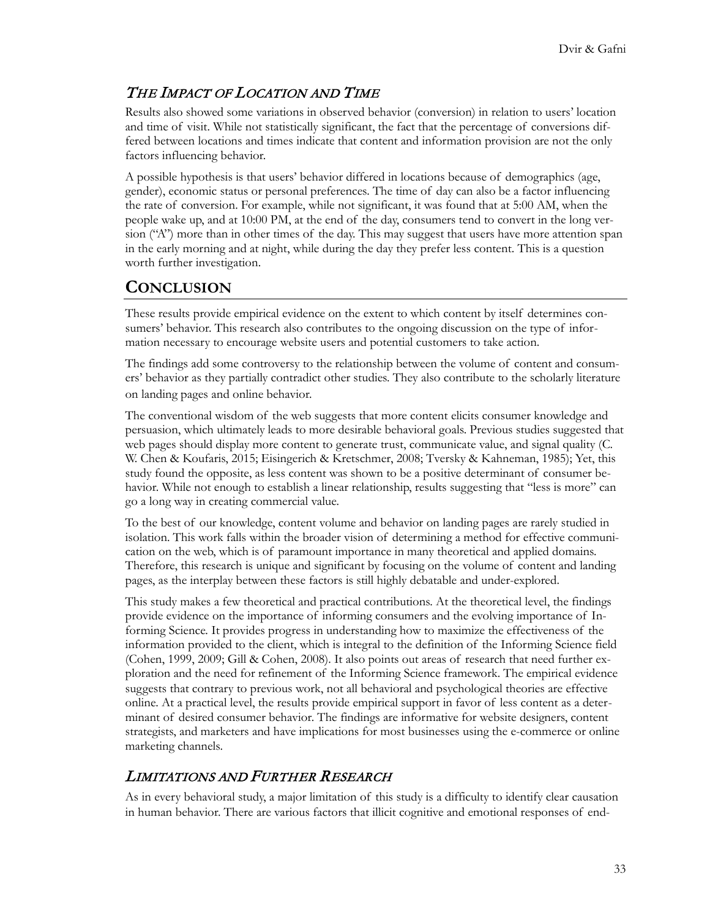# THE IMPACT OF LOCATION AND TIME

Results also showed some variations in observed behavior (conversion) in relation to users' location and time of visit. While not statistically significant, the fact that the percentage of conversions differed between locations and times indicate that content and information provision are not the only factors influencing behavior.

A possible hypothesis is that users' behavior differed in locations because of demographics (age, gender), economic status or personal preferences. The time of day can also be a factor influencing the rate of conversion. For example, while not significant, it was found that at 5:00 AM, when the people wake up, and at 10:00 PM, at the end of the day, consumers tend to convert in the long version ("A") more than in other times of the day. This may suggest that users have more attention span in the early morning and at night, while during the day they prefer less content. This is a question worth further investigation.

# **CONCLUSION**

These results provide empirical evidence on the extent to which content by itself determines consumers' behavior. This research also contributes to the ongoing discussion on the type of information necessary to encourage website users and potential customers to take action.

The findings add some controversy to the relationship between the volume of content and consumers' behavior as they partially contradict other studies. They also contribute to the scholarly literature on landing pages and online behavior.

The conventional wisdom of the web suggests that more content elicits consumer knowledge and persuasion, which ultimately leads to more desirable behavioral goals. Previous studies suggested that web pages should display more content to generate trust, communicate value, and signal quality (C. W. Chen & Koufaris, 2015; Eisingerich & Kretschmer, 2008; Tversky & Kahneman, 1985); Yet, this study found the opposite, as less content was shown to be a positive determinant of consumer behavior. While not enough to establish a linear relationship, results suggesting that "less is more" can go a long way in creating commercial value.

To the best of our knowledge, content volume and behavior on landing pages are rarely studied in isolation. This work falls within the broader vision of determining a method for effective communication on the web, which is of paramount importance in many theoretical and applied domains. Therefore, this research is unique and significant by focusing on the volume of content and landing pages, as the interplay between these factors is still highly debatable and under-explored.

This study makes a few theoretical and practical contributions. At the theoretical level, the findings provide evidence on the importance of informing consumers and the evolving importance of Informing Science. It provides progress in understanding how to maximize the effectiveness of the information provided to the client, which is integral to the definition of the Informing Science field (Cohen, 1999, 2009; Gill & Cohen, 2008). It also points out areas of research that need further exploration and the need for refinement of the Informing Science framework. The empirical evidence suggests that contrary to previous work, not all behavioral and psychological theories are effective online. At a practical level, the results provide empirical support in favor of less content as a determinant of desired consumer behavior. The findings are informative for website designers, content strategists, and marketers and have implications for most businesses using the e-commerce or online marketing channels.

## LIMITATIONS AND FURTHER RESEARCH

As in every behavioral study, a major limitation of this study is a difficulty to identify clear causation in human behavior. There are various factors that illicit cognitive and emotional responses of end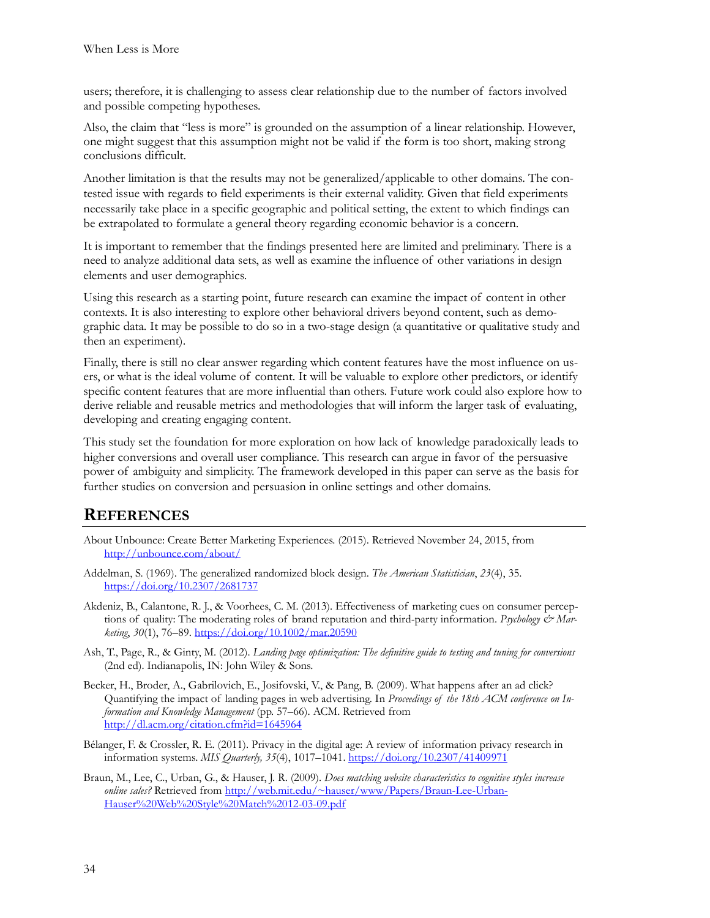users; therefore, it is challenging to assess clear relationship due to the number of factors involved and possible competing hypotheses.

Also, the claim that "less is more" is grounded on the assumption of a linear relationship. However, one might suggest that this assumption might not be valid if the form is too short, making strong conclusions difficult.

Another limitation is that the results may not be generalized/applicable to other domains. The contested issue with regards to field experiments is their external validity. Given that field experiments necessarily take place in a specific geographic and political setting, the extent to which findings can be extrapolated to formulate a general theory regarding economic behavior is a concern.

It is important to remember that the findings presented here are limited and preliminary. There is a need to analyze additional data sets, as well as examine the influence of other variations in design elements and user demographics.

Using this research as a starting point, future research can examine the impact of content in other contexts. It is also interesting to explore other behavioral drivers beyond content, such as demographic data. It may be possible to do so in a two-stage design (a quantitative or qualitative study and then an experiment).

Finally, there is still no clear answer regarding which content features have the most influence on users, or what is the ideal volume of content. It will be valuable to explore other predictors, or identify specific content features that are more influential than others. Future work could also explore how to derive reliable and reusable metrics and methodologies that will inform the larger task of evaluating, developing and creating engaging content.

This study set the foundation for more exploration on how lack of knowledge paradoxically leads to higher conversions and overall user compliance. This research can argue in favor of the persuasive power of ambiguity and simplicity. The framework developed in this paper can serve as the basis for further studies on conversion and persuasion in online settings and other domains.

# **REFERENCES**

- About Unbounce: Create Better Marketing Experiences. (2015). Retrieved November 24, 2015, from <http://unbounce.com/about/>
- Addelman, S. (1969). The generalized randomized block design. *The American Statistician*, *23*(4), 35. <https://doi.org/10.2307/2681737>
- Akdeniz, B., Calantone, R. J., & Voorhees, C. M. (2013). Effectiveness of marketing cues on consumer perceptions of quality: The moderating roles of brand reputation and third-party information. Psychology & Mar*keting*, *30*(1), 76–89. <https://doi.org/10.1002/mar.20590>
- Ash, T., Page, R., & Ginty, M. (2012). *Landing page optimization: The definitive guide to testing and tuning for conversions* (2nd ed). Indianapolis, IN: John Wiley & Sons.
- Becker, H., Broder, A., Gabrilovich, E., Josifovski, V., & Pang, B. (2009). What happens after an ad click? Quantifying the impact of landing pages in web advertising. In *Proceedings of the 18th ACM conference on Information and Knowledge Management* (pp. 57–66). ACM. Retrieved from <http://dl.acm.org/citation.cfm?id=1645964>
- Bélanger, F. & Crossler, R. E. (2011). Privacy in the digital age: A review of information privacy research in information systems. *MIS Quarterly, 35*(4), 1017–1041. <https://doi.org/10.2307/41409971>
- Braun, M., Lee, C., Urban, G., & Hauser, J. R. (2009). *Does matching website characteristics to cognitive styles increase online sales?* Retrieved from [http://web.mit.edu/~hauser/www/Papers/Braun](http://web.mit.edu/~hauser/www/Papers/Braun-Lee-Urban-Hauser%20Web%20Style%20Match%2012-03-09.pdf)-Lee-Urban-[Hauser%20Web%20Style%20Match%2012](http://web.mit.edu/~hauser/www/Papers/Braun-Lee-Urban-Hauser%20Web%20Style%20Match%2012-03-09.pdf)-03-09.pdf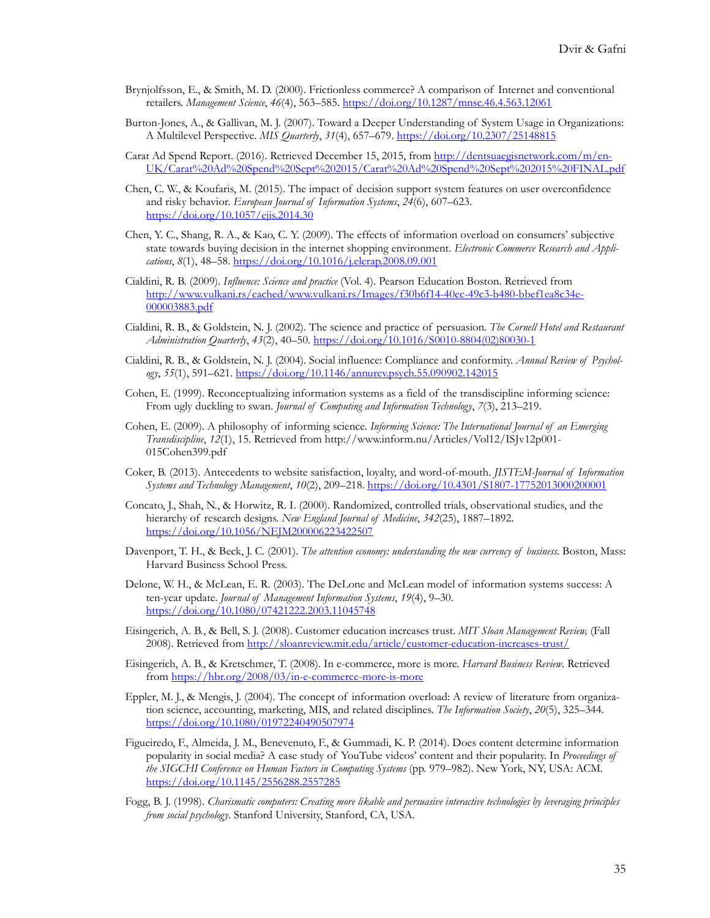- Brynjolfsson, E., & Smith, M. D. (2000). Frictionless commerce? A comparison of Internet and conventional retailers. *Management Science*, *46*(4), 563–585[. https://doi.org/10.1287/mnsc.46.4.563.12061](https://doi.org/10.1287/mnsc.46.4.563.12061)
- Burton-Jones, A., & Gallivan, M. J. (2007). Toward a Deeper Understanding of System Usage in Organizations: A Multilevel Perspective. *MIS Quarterly*, *31*(4), 657–679. <https://doi.org/10.2307/25148815>
- Carat Ad Spend Report. (2016). Retrieved December 15, 2015, from [http://dentsuaegisnetwork.com/m/en](http://dentsuaegisnetwork.com/m/en-UK/Carat%20Ad%20Spend%20Sept%202015/Carat%20Ad%20Spend%20Sept%202015%20FINAL.pdf)-[UK/Carat%20Ad%20Spend%20Sept%202015/Carat%20Ad%20Spend%20Sept%202015%20FINAL.pdf](http://dentsuaegisnetwork.com/m/en-UK/Carat%20Ad%20Spend%20Sept%202015/Carat%20Ad%20Spend%20Sept%202015%20FINAL.pdf)
- Chen, C. W., & Koufaris, M. (2015). The impact of decision support system features on user overconfidence and risky behavior. *European Journal of Information Systems*, *24*(6), 607–623. <https://doi.org/10.1057/ejis.2014.30>
- Chen, Y. C., Shang, R. A., & Kao, C. Y. (2009). The effects of information overload on consumers' subjective state towards buying decision in the internet shopping environment. *Electronic Commerce Research and Applications*, *8*(1), 48–58.<https://doi.org/10.1016/j.elerap.2008.09.001>
- Cialdini, R. B. (2009). *Influence: Science and practice* (Vol. 4). Pearson Education Boston. Retrieved from [http://www.vulkani.rs/cached/www.vulkani.rs/Images/f30b6f14](http://www.vulkani.rs/cached/www.vulkani.rs/Images/f30b6f14-40ec-49c3-b480-bbef1ea8c34e-000003883.pdf)-40ec-49c3-b480-bbef1ea8c34e-[000003883.pdf](http://www.vulkani.rs/cached/www.vulkani.rs/Images/f30b6f14-40ec-49c3-b480-bbef1ea8c34e-000003883.pdf)
- Cialdini, R. B., & Goldstein, N. J. (2002). The science and practice of persuasion. *The Cornell Hotel and Restaurant Administration Quarterly*, *43*(2), 40–50. [https://doi.org/10.1016/S0010](https://doi.org/10.1016/S0010-8804(02)80030-1)-8804(02)80030-1
- Cialdini, R. B., & Goldstein, N. J. (2004). Social influence: Compliance and conformity. *Annual Review of Psychology*, *55*(1), 591–621. <https://doi.org/10.1146/annurev.psych.55.090902.142015>
- Cohen, E. (1999). Reconceptualizing information systems as a field of the transdiscipline informing science: From ugly duckling to swan. *Journal of Computing and Information Technology*, *7*(3), 213–219.
- Cohen, E. (2009). A philosophy of informing science. *Informing Science: The International Journal of an Emerging Transdiscipline*, *12*(1), 15. Retrieved from http://www.inform.nu/Articles/Vol12/ISJv12p001- 015Cohen399.pdf
- Coker, B. (2013). Antecedents to website satisfaction, loyalty, and word-of-mouth. *JISTEM-Journal of Information Systems and Technology Management*, *10*(2), 209–218. [https://doi.org/10.4301/S1807](https://doi.org/10.4301/S1807-17752013000200001)-17752013000200001
- Concato, J., Shah, N., & Horwitz, R. I. (2000). Randomized, controlled trials, observational studies, and the hierarchy of research designs. *New England Journal of Medicine*, *342*(25), 1887–1892. <https://doi.org/10.1056/NEJM200006223422507>
- Davenport, T. H., & Beck, J. C. (2001). *The attention economy: understanding the new currency of business*. Boston, Mass: Harvard Business School Press.
- Delone, W. H., & McLean, E. R. (2003). The DeLone and McLean model of information systems success: A ten-year update. *Journal of Management Information Systems*, *19*(4), 9–30. <https://doi.org/10.1080/07421222.2003.11045748>
- Eisingerich, A. B., & Bell, S. J. (2008). Customer education increases trust. *MIT Sloan Management Review,* (Fall 2008). Retrieved from [http://sloanreview.mit.edu/article/customer](http://sloanreview.mit.edu/article/customer-education-increases-trust/)-education-increases-trust/
- Eisingerich, A. B., & Kretschmer, T. (2008). In e-commerce, more is more. *Harvard Business Review*. Retrieved from [https://hbr.org/2008/03/in](https://hbr.org/2008/03/in-e-commerce-more-is-more)-e-commerce-more-is-more
- Eppler, M. J., & Mengis, J. (2004). The concept of information overload: A review of literature from organization science, accounting, marketing, MIS, and related disciplines. *The Information Society*, *20*(5), 325–344. <https://doi.org/10.1080/01972240490507974>
- Figueiredo, F., Almeida, J. M., Benevenuto, F., & Gummadi, K. P. (2014). Does content determine information popularity in social media? A case study of YouTube videos' content and their popularity. In *Proceedings of the SIGCHI Conference on Human Factors in Computing Systems* (pp. 979–982). New York, NY, USA: ACM. <https://doi.org/10.1145/2556288.2557285>
- Fogg, B. J. (1998). *Charismatic computers: Creating more likable and persuasive interactive technologies by leveraging principles from social psychology*. Stanford University, Stanford, CA, USA.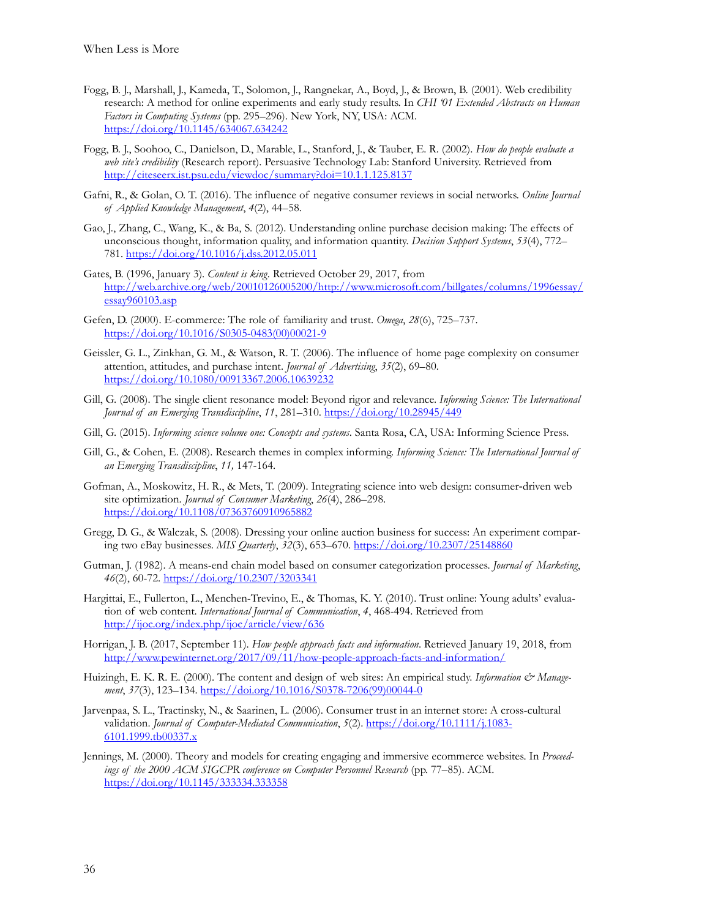- Fogg, B. J., Marshall, J., Kameda, T., Solomon, J., Rangnekar, A., Boyd, J., & Brown, B. (2001). Web credibility research: A method for online experiments and early study results. In *CHI '01 Extended Abstracts on Human Factors in Computing Systems* (pp. 295–296). New York, NY, USA: ACM. <https://doi.org/10.1145/634067.634242>
- Fogg, B. J., Soohoo, C., Danielson, D., Marable, L., Stanford, J., & Tauber, E. R. (2002). *How do people evaluate a web site's credibility* (Research report). Persuasive Technology Lab: Stanford University. Retrieved from <http://citeseerx.ist.psu.edu/viewdoc/summary?doi=10.1.1.125.8137>
- Gafni, R., & Golan, O. T. (2016). The influence of negative consumer reviews in social networks. *Online Journal of Applied Knowledge Management*, *4*(2), 44–58.
- Gao, J., Zhang, C., Wang, K., & Ba, S. (2012). Understanding online purchase decision making: The effects of unconscious thought, information quality, and information quantity. *Decision Support Systems*, *53*(4), 772– 781. <https://doi.org/10.1016/j.dss.2012.05.011>
- Gates, B. (1996, January 3). *Content is king.* Retrieved October 29, 2017, from [http://web.archive.org/web/20010126005200/http://www.microsoft.com/billgates/columns/1996essay/](http://web.archive.org/web/20010126005200/http:/www.microsoft.com/billgates/columns/1996essay/essay960103.asp) [essay960103.asp](http://web.archive.org/web/20010126005200/http:/www.microsoft.com/billgates/columns/1996essay/essay960103.asp)
- Gefen, D. (2000). E-commerce: The role of familiarity and trust. *Omega*, *28*(6), 725–737. [https://doi.org/10.1016/S0305](https://doi.org/10.1016/S0305-0483(00)00021-9)-0483(00)00021-9
- Geissler, G. L., Zinkhan, G. M., & Watson, R. T. (2006). The influence of home page complexity on consumer attention, attitudes, and purchase intent. *Journal of Advertising*, *35*(2), 69–80. <https://doi.org/10.1080/00913367.2006.10639232>
- Gill, G. (2008). The single client resonance model: Beyond rigor and relevance. *Informing Science: The International Journal of an Emerging Transdiscipline*, *11*, 281–310. <https://doi.org/10.28945/449>
- Gill, G. (2015). *Informing science volume one: Concepts and systems*. Santa Rosa, CA, USA: Informing Science Press.
- Gill, G., & Cohen, E. (2008). Research themes in complex informing. *Informing Science: The International Journal of an Emerging Transdiscipline*, *11,* 147-164.
- Gofman, A., Moskowitz, H. R., & Mets, T. (2009). Integrating science into web design: consumer‐driven web site optimization. *Journal of Consumer Marketing*, *26*(4), 286–298. <https://doi.org/10.1108/07363760910965882>
- Gregg, D. G., & Walczak, S. (2008). Dressing your online auction business for success: An experiment comparing two eBay businesses. *MIS Quarterly*, *32*(3), 653–670. <https://doi.org/10.2307/25148860>
- Gutman, J. (1982). A means-end chain model based on consumer categorization processes. *Journal of Marketing*, *46*(2), 60-72. <https://doi.org/10.2307/3203341>
- Hargittai, E., Fullerton, L., Menchen-Trevino, E., & Thomas, K. Y. (2010). Trust online: Young adults' evaluation of web content. *International Journal of Communication*, *4*, 468-494. Retrieved from <http://ijoc.org/index.php/ijoc/article/view/636>
- Horrigan, J. B. (2017, September 11). *How people approach facts and information*. Retrieved January 19, 2018, from [http://www.pewinternet.org/2017/09/11/how](http://www.pewinternet.org/2017/09/11/how-people-approach-facts-and-information/)-people-approach-facts-and-information/
- Huizingh, E. K. R. E. (2000). The content and design of web sites: An empirical study. *Information & Management*, *37*(3), 123–134. [https://doi.org/10.1016/S0378](https://doi.org/10.1016/S0378-7206(99)00044-0)-7206(99)00044-0
- Jarvenpaa, S. L., Tractinsky, N., & Saarinen, L. (2006). Consumer trust in an internet store: A cross-cultural validation. *Journal of Computer-Mediated Communication*, 5(2). [https://doi.org/10.1111/j.1083](https://doi.org/10.1111/j.1083-6101.1999.tb00337.x)-[6101.1999.tb00337.x](https://doi.org/10.1111/j.1083-6101.1999.tb00337.x)
- Jennings, M. (2000). Theory and models for creating engaging and immersive ecommerce websites. In *Proceedings of the 2000 ACM SIGCPR conference on Computer Personnel Research* (pp. 77–85). ACM. <https://doi.org/10.1145/333334.333358>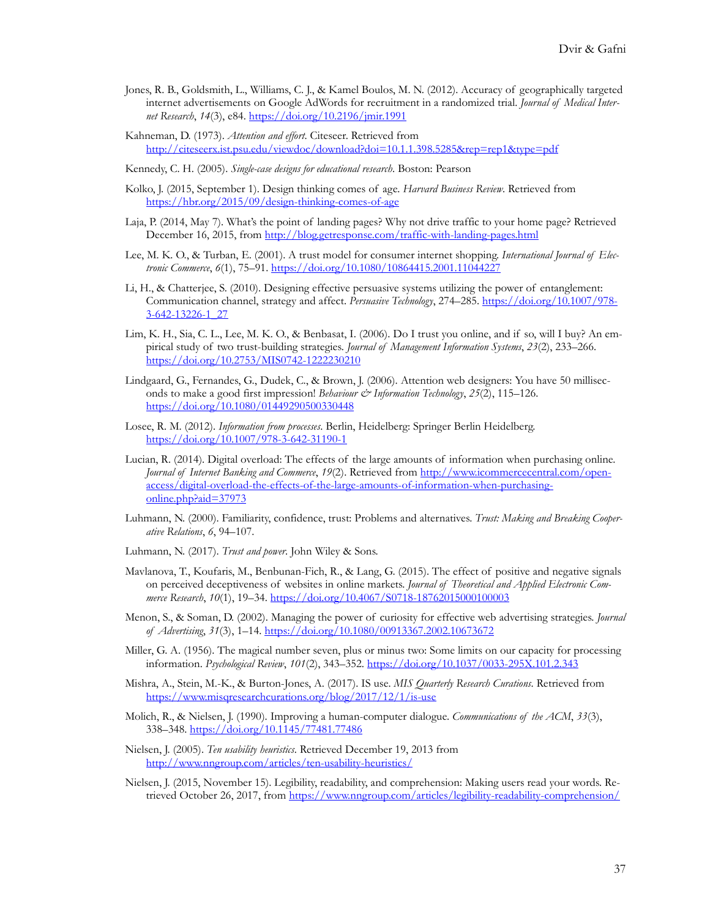- Jones, R. B., Goldsmith, L., Williams, C. J., & Kamel Boulos, M. N. (2012). Accuracy of geographically targeted internet advertisements on Google AdWords for recruitment in a randomized trial. *Journal of Medical Internet Research*, *14*(3), e84.<https://doi.org/10.2196/jmir.1991>
- Kahneman, D. (1973). *Attention and effort*. Citeseer. Retrieved from <http://citeseerx.ist.psu.edu/viewdoc/download?doi=10.1.1.398.5285&rep=rep1&type=pdf>

Kennedy, C. H. (2005). *Single-case designs for educational research*. Boston: Pearson

- Kolko, J. (2015, September 1). Design thinking comes of age. *Harvard Business Review*. Retrieved from [https://hbr.org/2015/09/design](https://hbr.org/2015/09/design-thinking-comes-of-age)-thinking-comes-of-age
- Laja, P. (2014, May 7). What's the point of landing pages? Why not drive traffic to your home page? Retrieved December 16, 2015, from [http://blog.getresponse.com/traffic](http://blog.getresponse.com/traffic-with-landing-pages.html)-with-landing-pages.html
- Lee, M. K. O., & Turban, E. (2001). A trust model for consumer internet shopping. *International Journal of Electronic Commerce*, *6*(1), 75–91. <https://doi.org/10.1080/10864415.2001.11044227>
- Li, H., & Chatterjee, S. (2010). Designing effective persuasive systems utilizing the power of entanglement: Communication channel, strategy and affect. *Persuasive Technology*, 274–285. [https://doi.org/10.1007/978](https://doi.org/10.1007/978-3-642-13226-1_27)- 3-642[-13226-1\\_27](https://doi.org/10.1007/978-3-642-13226-1_27)
- Lim, K. H., Sia, C. L., Lee, M. K. O., & Benbasat, I. (2006). Do I trust you online, and if so, will I buy? An empirical study of two trust-building strategies. *Journal of Management Information Systems*, *23*(2), 233–266. [https://doi.org/10.2753/MIS0742](https://doi.org/10.2753/MIS0742-1222230210)-1222230210
- Lindgaard, G., Fernandes, G., Dudek, C., & Brown, J. (2006). Attention web designers: You have 50 milliseconds to make a good first impression! *Behaviour & Information Technology*, *25*(2), 115–126. <https://doi.org/10.1080/01449290500330448>
- Losee, R. M. (2012). *Information from processes*. Berlin, Heidelberg: Springer Berlin Heidelberg. [https://doi.org/10.1007/978](https://doi.org/10.1007/978-3-642-31190-1)-3-642-31190-1
- Lucian, R. (2014). Digital overload: The effects of the large amounts of information when purchasing online. *Journal of Internet Banking and Commerce*, *19*(2). Retrieved from [http://www.icommercecentral.com/open](http://www.icommercecentral.com/open-access/digital-overload-the-effects-of-the-large-amounts-of-information-when-purchasing-online.php?aid=37973)[access/digital](http://www.icommercecentral.com/open-access/digital-overload-the-effects-of-the-large-amounts-of-information-when-purchasing-online.php?aid=37973)-overload-the-effects-of-the-large-amounts-of-information-when-purchasing[online.php?aid=37973](http://www.icommercecentral.com/open-access/digital-overload-the-effects-of-the-large-amounts-of-information-when-purchasing-online.php?aid=37973)
- Luhmann, N. (2000). Familiarity, confidence, trust: Problems and alternatives. *Trust: Making and Breaking Cooperative Relations*, *6*, 94–107.
- Luhmann, N. (2017). *Trust and power*. John Wiley & Sons.
- Mavlanova, T., Koufaris, M., Benbunan-Fich, R., & Lang, G. (2015). The effect of positive and negative signals on perceived deceptiveness of websites in online markets. *Journal of Theoretical and Applied Electronic Commerce Research*, *10*(1), 19–34. [https://doi.org/10.4067/S0718](https://doi.org/10.4067/S0718-18762015000100003)-18762015000100003
- Menon, S., & Soman, D. (2002). Managing the power of curiosity for effective web advertising strategies. *Journal of Advertising*, *31*(3), 1–14. [https://doi.org/10.1080/00913367.2002](https://doi.org/10.1080/00913367.2002.10673672).10673672
- Miller, G. A. (1956). The magical number seven, plus or minus two: Some limits on our capacity for processing information. *Psychological Review*, *101*(2), 343–352[. https://doi.org/10.1037/0033](https://doi.org/10.1037/0033-295X.101.2.343)-295X.101.2.343
- Mishra, A., Stein, M.-K., & Burton-Jones, A. (2017). IS use. *MIS Quarterly Research Curations*. Retrieved from [https://www.misqresearchcurations.org/blog/2017/12/1/is](https://www.misqresearchcurations.org/blog/2017/12/1/is-use)-use
- Molich, R., & Nielsen, J. (1990). Improving a human-computer dialogue. *Communications of the ACM*, *33*(3), 338–348. <https://doi.org/10.1145/77481.77486>
- Nielsen, J. (2005). *Ten usability heuristics*. Retrieved December 19, 2013 from [http://www.nngroup.com/articles/ten](http://www.nngroup.com/articles/ten-usability-heuristics/)-usability-heuristics/
- Nielsen, J. (2015, November 15). Legibility, readability, and comprehension: Making users read your words. Retrieved October 26, 2017, from [https://www.nngroup.com/articles/legibility](https://www.nngroup.com/articles/legibility-readability-comprehension/)-readability-comprehension/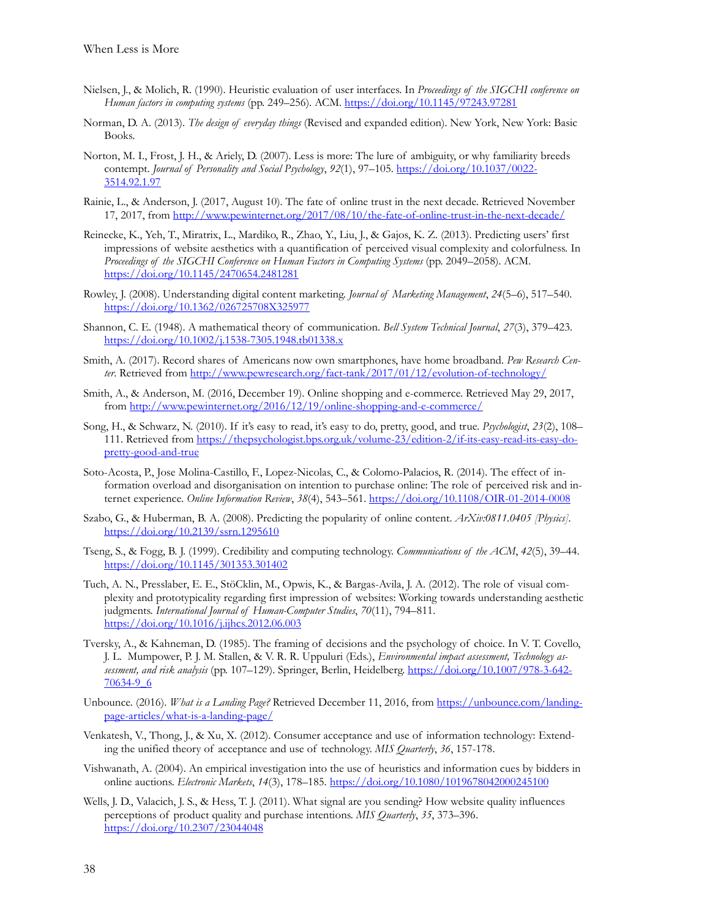- Nielsen, J., & Molich, R. (1990). Heuristic evaluation of user interfaces. In *Proceedings of the SIGCHI conference on Human factors in computing systems* (pp. 249–256). ACM. <https://doi.org/10.1145/97243.97281>
- Norman, D. A. (2013). *The design of everyday things* (Revised and expanded edition). New York, New York: Basic Books.
- Norton, M. I., Frost, J. H., & Ariely, D. (2007). Less is more: The lure of ambiguity, or why familiarity breeds contempt. *Journal of Personality and Social Psychology*, *92*(1), 97–105. [https://doi.org/10.1037/0022](https://doi.org/10.1037/0022-3514.92.1.97)- [3514.92.1.97](https://doi.org/10.1037/0022-3514.92.1.97)
- Rainie, L., & Anderson, J. (2017, August 10). The fate of online trust in the next decade. Retrieved November 17, 2017, from [http://www.pewinternet.org/2017/08/10/the](http://www.pewinternet.org/2017/08/10/the-fate-of-online-trust-in-the-next-decade/)-fate-of-online-trust-in-the-next-decade/
- Reinecke, K., Yeh, T., Miratrix, L., Mardiko, R., Zhao, Y., Liu, J., & Gajos, K. Z. (2013). Predicting users' first impressions of website aesthetics with a quantification of perceived visual complexity and colorfulness. In *Proceedings of the SIGCHI Conference on Human Factors in Computing Systems* (pp. 2049–2058). ACM. <https://doi.org/10.1145/2470654.2481281>
- Rowley, J. (2008). Understanding digital content marketing. *Journal of Marketing Management*, *24*(5–6), 517–540. <https://doi.org/10.1362/026725708X325977>
- Shannon, C. E. (1948). A mathematical theory of communication. *Bell System Technical Journal*, *27*(3), 379–423. [https://doi.org/10.1002/j.1538](https://doi.org/10.1002/j.1538-7305.1948.tb01338.x)-7305.1948.tb01338.x
- Smith, A. (2017). Record shares of Americans now own smartphones, have home broadband. *Pew Research Center*. Retrieved from [http://www.pewresearch.org/fact](http://www.pewresearch.org/fact-tank/2017/01/12/evolution-of-technology/)-tank/2017/01/12/evolution-of-technology/
- Smith, A., & Anderson, M. (2016, December 19). Online shopping and e-commerce. Retrieved May 29, 2017, from [http://www.pewinternet.org/2016/12/19/online](http://www.pewinternet.org/2016/12/19/online-shopping-and-e-commerce/)-shopping-and-e-commerce/
- Song, H., & Schwarz, N. (2010). If it's easy to read, it's easy to do, pretty, good, and true. *Psychologist*, *23*(2), 108– 111. Retrieved fro[m https://thepsychologist.bps.org.uk/volume](https://thepsychologist.bps.org.uk/volume-23/edition-2/if-its-easy-read-its-easy-do-pretty-good-and-true)-23/edition-2/if-its-easy-read-its-easy-dopretty[-good-and-](https://thepsychologist.bps.org.uk/volume-23/edition-2/if-its-easy-read-its-easy-do-pretty-good-and-true)true
- Soto-Acosta, P., Jose Molina-Castillo, F., Lopez-Nicolas, C., & Colomo-Palacios, R. (2014). The effect of information overload and disorganisation on intention to purchase online: The role of perceived risk and internet experience. *Online Information Review*, *38*(4), 543–561. [https://doi.org/10.1108/OIR](https://doi.org/10.1108/OIR-01-2014-0008)-01-2014-0008
- Szabo, G., & Huberman, B. A. (2008). Predicting the popularity of online content. *ArXiv:0811.0405 [Physics]*. <https://doi.org/10.2139/ssrn.1295610>
- Tseng, S., & Fogg, B. J. (1999). Credibility and computing technology. *Communications of the ACM*, *42*(5), 39–44. <https://doi.org/10.1145/301353.301402>
- Tuch, A. N., Presslaber, E. E., StöCklin, M., Opwis, K., & Bargas-Avila, J. A. (2012). The role of visual complexity and prototypicality regarding first impression of websites: Working towards understanding aesthetic judgments. *International Journal of Human-Computer Studies*, *70*(11), 794–811. <https://doi.org/10.1016/j.ijhcs.2012.06.003>
- Tversky, A., & Kahneman, D. (1985). The framing of decisions and the psychology of choice. In V. T. Covello, J. L. Mumpower, P. J. M. Stallen, & V. R. R. Uppuluri (Eds.), *Environmental impact assessment, Technology assessment, and risk analysis* (pp. 107–129). Springer, Berlin, Heidelberg. [https://doi.org/10.1007/978](https://doi.org/10.1007/978-3-642-70634-9_6)-3-642- [70634](https://doi.org/10.1007/978-3-642-70634-9_6)-9\_6
- Unbounce. (2016). *What is a Landing Page?* Retrieved December 11, 2016, from [https://unbounce.com/landing](https://unbounce.com/landing-page-articles/what-is-a-landing-page/)page-[articles/what](https://unbounce.com/landing-page-articles/what-is-a-landing-page/)-is-a-landing-page/
- Venkatesh, V., Thong, J., & Xu, X. (2012). Consumer acceptance and use of information technology: Extending the unified theory of acceptance and use of technology. *MIS Quarterly*, *36*, 157-178.
- Vishwanath, A. (2004). An empirical investigation into the use of heuristics and information cues by bidders in online auctions. *Electronic Markets*, *14*(3), 178–185. <https://doi.org/10.1080/1019678042000245100>
- Wells, J. D., Valacich, J. S., & Hess, T. J. (2011). What signal are you sending? How website quality influences perceptions of product quality and purchase intentions. *MIS Quarterly*, *35*, 373–396. <https://doi.org/10.2307/23044048>